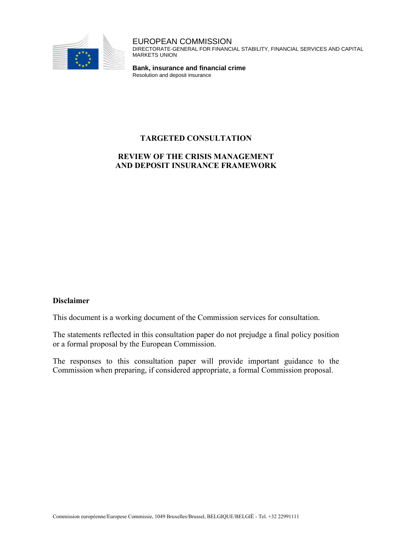

EUROPEAN COMMISSION DIRECTORATE-GENERAL FOR FINANCIAL STABILITY, FINANCIAL SERVICES AND CAPITAL MARKETS UNION

**Bank, insurance and financial crime** Resolution and deposit insurance

# **TARGETED CONSULTATION**

# **REVIEW OF THE CRISIS MANAGEMENT AND DEPOSIT INSURANCE FRAMEWORK**

#### **Disclaimer**

This document is a working document of the Commission services for consultation.

The statements reflected in this consultation paper do not prejudge a final policy position or a formal proposal by the European Commission.

The responses to this consultation paper will provide important guidance to the Commission when preparing, if considered appropriate, a formal Commission proposal.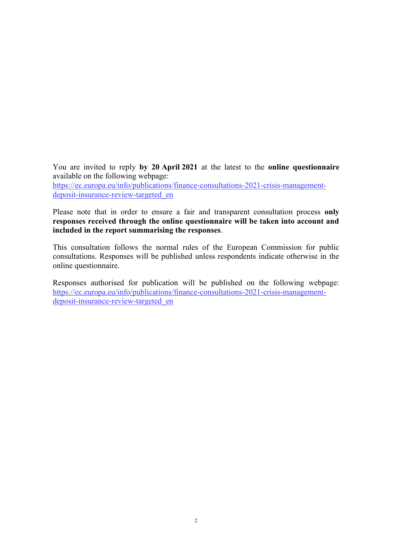You are invited to reply **by 20 April 2021** at the latest to the **online questionnaire** available on the following webpage:

[https://ec.europa.eu/info/publications/finance-consultations-2021-crisis-management](https://ec.europa.eu/info/publications/finance-consultations-2021-crisis-management-deposit-insurance-review-targeted_en)[deposit-insurance-review-targeted\\_en](https://ec.europa.eu/info/publications/finance-consultations-2021-crisis-management-deposit-insurance-review-targeted_en)

Please note that in order to ensure a fair and transparent consultation process **only responses received through the online questionnaire will be taken into account and included in the report summarising the responses**.

This consultation follows the normal rules of the European Commission for public consultations. Responses will be published unless respondents indicate otherwise in the online questionnaire.

Responses authorised for publication will be published on the following webpage: [https://ec.europa.eu/info/publications/finance-consultations-2021-crisis-management](https://ec.europa.eu/info/publications/finance-consultations-2021-crisis-management-deposit-insurance-review-targeted_en)[deposit-insurance-review-targeted\\_en](https://ec.europa.eu/info/publications/finance-consultations-2021-crisis-management-deposit-insurance-review-targeted_en)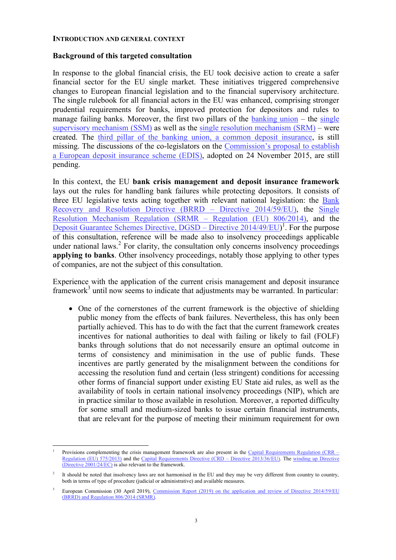#### **INTRODUCTION AND GENERAL CONTEXT**

#### **Background of this targeted consultation**

In response to the global financial crisis, the EU took decisive action to create a safer financial sector for the EU single market. These initiatives triggered comprehensive changes to European financial legislation and to the financial supervisory architecture. The single rulebook for all financial actors in the EU was enhanced, comprising stronger prudential requirements for banks, improved protection for depositors and rules to manage failing banks. Moreover, the first two pillars of the [banking union](https://ec.europa.eu/info/business-economy-euro/banking-and-finance/banking-union_en) – the single [supervisory mechanism \(SSM\)](https://ec.europa.eu/info/business-economy-euro/banking-and-finance/banking-union/single-supervisory-mechanism_en) as well as the [single resolution mechanism \(SRM\)](https://ec.europa.eu/info/business-economy-euro/banking-and-finance/banking-union/single-resolution-mechanism_en) – were created. The [third pillar of the banking union, a common deposit insurance,](https://ec.europa.eu/info/business-economy-euro/banking-and-finance/banking-union/european-deposit-insurance-scheme_en) is still missing. The discussions of the co-legislators on the [Commission's proposal to establish](https://eur-lex.europa.eu/legal-content/EN/TXT/?uri=CELEX:52015PC0586)  [a European deposit insurance scheme \(EDIS\),](https://eur-lex.europa.eu/legal-content/EN/TXT/?uri=CELEX:52015PC0586) adopted on 24 November 2015, are still pending.

In this context, the EU **bank crisis management and deposit insurance framework** lays out the rules for handling bank failures while protecting depositors. It consists of three EU legislative texts acting together with relevant national legislation: the Bank [Recovery and Resolution Directive \(BRRD – Directive 2014/59/EU\),](https://eur-lex.europa.eu/legal-content/EN/TXT/?uri=CELEX:32014L0059) the [Single](https://eur-lex.europa.eu/legal-content/EN/TXT/?uri=CELEX:32014R0806)  [Resolution Mechanism Regulation \(SRMR – Regulation \(EU\) 806/2014\),](https://eur-lex.europa.eu/legal-content/EN/TXT/?uri=CELEX:32014R0806) and the [Deposit Guarantee Schemes Directive, DGSD – Directive 2014/49/EU\)](https://eur-lex.europa.eu/legal-content/EN/TXT/?uri=celex%3A32014L0049)<sup>1</sup>. For the purpose of this consultation, reference will be made also to insolvency proceedings applicable under national laws.<sup>2</sup> For clarity, the consultation only concerns insolvency proceedings **applying to banks**. Other insolvency proceedings, notably those applying to other types of companies, are not the subject of this consultation.

Experience with the application of the current crisis management and deposit insurance framework<sup>3</sup> until now seems to indicate that adjustments may be warranted. In particular:

• One of the cornerstones of the current framework is the objective of shielding public money from the effects of bank failures. Nevertheless, this has only been partially achieved. This has to do with the fact that the current framework creates incentives for national authorities to deal with failing or likely to fail (FOLF) banks through solutions that do not necessarily ensure an optimal outcome in terms of consistency and minimisation in the use of public funds. These incentives are partly generated by the misalignment between the conditions for accessing the resolution fund and certain (less stringent) conditions for accessing other forms of financial support under existing EU State aid rules, as well as the availability of tools in certain national insolvency proceedings (NIP), which are in practice similar to those available in resolution. Moreover, a reported difficulty for some small and medium-sized banks to issue certain financial instruments, that are relevant for the purpose of meeting their minimum requirement for own

 $\overline{a}$ 1 Provisions complementing the crisis management framework are also present in the Capital Requirements Regulation (CRR  $-$ [Regulation \(EU\) 575/2013\)](https://eur-lex.europa.eu/legal-content/EN/TXT/?uri=CELEX:32013R0575) and the [Capital Requirements Directive \(CRD – Directive 2013/36/EU\).](https://eur-lex.europa.eu/legal-content/EN/TXT/?uri=CELEX:32013L0036) The [winding up Directive](https://eur-lex.europa.eu/legal-content/EN/TXT/?uri=CELEX:32001L0024)  [\(Directive 2001/24/EC\) i](https://eur-lex.europa.eu/legal-content/EN/TXT/?uri=CELEX:32001L0024)s also relevant to the framework.

<sup>2</sup> It should be noted that insolvency laws are not harmonised in the EU and they may be very different from country to country, both in terms of type of procedure (judicial or administrative) and available measures.

<sup>3</sup> European Commission (30 April 2019), [Commission Report \(2019\) on the application and review of Directive 2014/59/EU](https://ec.europa.eu/transparency/regdoc/rep/1/2019/EN/COM-2019-213-F1-EN-MAIN-PART-1.PDF)  [\(BRRD\) and Regulation 806/2014 \(SRMR\).](https://ec.europa.eu/transparency/regdoc/rep/1/2019/EN/COM-2019-213-F1-EN-MAIN-PART-1.PDF)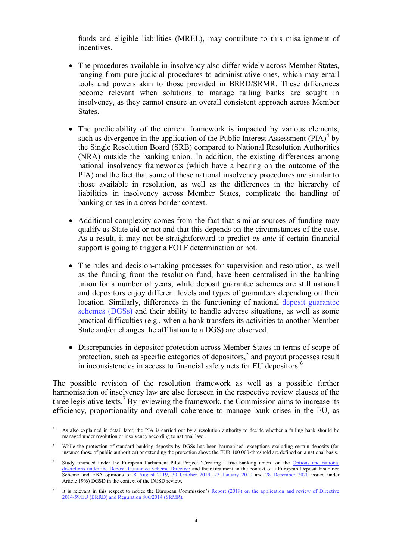funds and eligible liabilities (MREL), may contribute to this misalignment of incentives.

- The procedures available in insolvency also differ widely across Member States, ranging from pure judicial procedures to administrative ones, which may entail tools and powers akin to those provided in BRRD/SRMR. These differences become relevant when solutions to manage failing banks are sought in insolvency, as they cannot ensure an overall consistent approach across Member States.
- The predictability of the current framework is impacted by various elements, such as divergence in the application of the Public Interest Assessment  $(PIA)^4$  by the Single Resolution Board (SRB) compared to National Resolution Authorities (NRA) outside the banking union. In addition, the existing differences among national insolvency frameworks (which have a bearing on the outcome of the PIA) and the fact that some of these national insolvency procedures are similar to those available in resolution, as well as the differences in the hierarchy of liabilities in insolvency across Member States, complicate the handling of banking crises in a cross-border context.
- Additional complexity comes from the fact that similar sources of funding may qualify as State aid or not and that this depends on the circumstances of the case. As a result, it may not be straightforward to predict *ex ante* if certain financial support is going to trigger a FOLF determination or not.
- The rules and decision-making processes for supervision and resolution, as well as the funding from the resolution fund, have been centralised in the banking union for a number of years, while deposit guarantee schemes are still national and depositors enjoy different levels and types of guarantees depending on their location. Similarly, differences in the functioning of national [deposit guarantee](https://ec.europa.eu/info/business-economy-euro/banking-and-finance/financial-supervision-and-risk-management/managing-risks-banks-and-financial-institutions/deposit-guarantee-schemes_en)  [schemes \(DGSs\)](https://ec.europa.eu/info/business-economy-euro/banking-and-finance/financial-supervision-and-risk-management/managing-risks-banks-and-financial-institutions/deposit-guarantee-schemes_en) and their ability to handle adverse situations, as well as some practical difficulties (e.g., when a bank transfers its activities to another Member State and/or changes the affiliation to a DGS) are observed.
- Discrepancies in depositor protection across Member States in terms of scope of protection, such as specific categories of depositors,<sup>5</sup> and payout processes result in inconsistencies in access to financial safety nets for EU depositors.<sup>6</sup>

The possible revision of the resolution framework as well as a possible further harmonisation of insolvency law are also foreseen in the respective review clauses of the three legislative texts.<sup>7</sup> By reviewing the framework, the Commission aims to increase its efficiency, proportionality and overall coherence to manage bank crises in the EU, as

 $\overline{a}$ 4 As also explained in detail later, the PIA is carried out by a resolution authority to decide whether a failing bank should be managed under resolution or insolvency according to national law.

<sup>5</sup> While the protection of standard banking deposits by DGSs has been harmonised, exceptions excluding certain deposits (for instance those of public authorities) or extending the protection above the EUR 100 000-threshold are defined on a national basis.

<sup>6</sup> Study financed under the European Parliament Pilot Project 'Creating a true banking union' on the [Options and national](https://eur-lex.europa.eu/legal-content/EN/TXT/?uri=CELEX:32014L0049)  discretions under the Deposit Guarantee Scheme Directive and their treatment in the context of a European Deposit Insurance [Scheme](https://eur-lex.europa.eu/legal-content/EN/TXT/?uri=CELEX:32014L0049) and EBA opinions of [8 August 2019,](https://eba.europa.eu/sites/default/documents/files/documents/10180/2622242/324e89ec-3523-4c5b-bd4f-e415367212bb/EBA%20Opinion%20on%20the%20eligibility%20of%20deposits%20coverage%20level%20and%20cooperation%20between%20DGSs.pdf) [30 October 2019,](https://eba.europa.eu/sites/default/documents/files/document_library/EBA%20Opinion%20on%20DGS%20Payouts.pdf) [23 January 2020](https://eba.europa.eu/sites/default/documents/files/document_library/Publications/Opinions/2020/EBA%20Opinion%20on%20DGS%20funding%20and%20uses%20of%20DGS%20funds.pdf) and [28 December 2020](https://www.eba.europa.eu/sites/default/documents/files/document_library/Publications/Opinions/2020/961347/EBA%20Opinion%20on%20the%20interplay%20between%20the%20AMLD%20and%20the%20DGSD.pdf) issued under Article 19(6) DGSD in the context of the DGSD review.

<sup>7</sup> It is relevant in this respect to notice the European Commission's [Report \(2019\) on the application and review of Directive](https://ec.europa.eu/transparency/regdoc/rep/1/2019/EN/COM-2019-213-F1-EN-MAIN-PART-1.PDF)  [2014/59/EU \(BRRD\) and Regulation 806/2014 \(SRMR\)](https://ec.europa.eu/transparency/regdoc/rep/1/2019/EN/COM-2019-213-F1-EN-MAIN-PART-1.PDF)*.*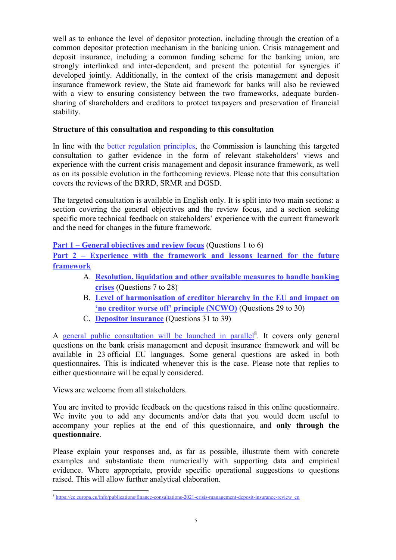well as to enhance the level of depositor protection, including through the creation of a common depositor protection mechanism in the banking union. Crisis management and deposit insurance, including a common funding scheme for the banking union, are strongly interlinked and inter-dependent, and present the potential for synergies if developed jointly. Additionally, in the context of the crisis management and deposit insurance framework review, the State aid framework for banks will also be reviewed with a view to ensuring consistency between the two frameworks, adequate burdensharing of shareholders and creditors to protect taxpayers and preservation of financial stability.

# **Structure of this consultation and responding to this consultation**

In line with the [better regulation principles,](https://ec.europa.eu/info/law/law-making-process/better-regulation-why-and-how_en) the Commission is launching this targeted consultation to gather evidence in the form of relevant stakeholders' views and experience with the current crisis management and deposit insurance framework, as well as on its possible evolution in the forthcoming reviews. Please note that this consultation covers the reviews of the BRRD, SRMR and DGSD.

The targeted consultation is available in English only. It is split into two main sections: a section covering the general objectives and the review focus, and a section seeking specific more technical feedback on stakeholders' experience with the current framework and the need for changes in the future framework.

**[Part 1 – General objectives and review focus](#page-8-0)** (Questions 1 to 6)

**[Part 2 – Experience with the framework and lessons learned for the future](#page-12-0)  [framework](#page-12-0)** 

- A. **[Resolution, liquidation and other available measures to handle banking](#page-12-1)  [crises](#page-12-1)** (Questions 7 to 28)
- B. **[Level of harmonisation of creditor hierarchy in the EU and impact on](#page-29-0)  ['no creditor worse off' principle \(NCWO\)](#page-29-0)** (Questions 29 to 30)
- C. **[Depositor insurance](#page-31-0)** (Questions 31 to 39)

A [general public consultation will be launched in parallel](https://ec.europa.eu/info/publications/finance-consultations-2021-crisis-management-deposit-insurance-review_en)<sup>8</sup>. It covers only general questions on the bank crisis management and deposit insurance framework and will be available in 23 official EU languages. Some general questions are asked in both questionnaires. This is indicated whenever this is the case. Please note that replies to either questionnaire will be equally considered.

Views are welcome from all stakeholders.

You are invited to provide feedback on the questions raised in this online questionnaire. We invite you to add any documents and/or data that you would deem useful to accompany your replies at the end of this questionnaire, and **only through the questionnaire**.

Please explain your responses and, as far as possible, illustrate them with concrete examples and substantiate them numerically with supporting data and empirical evidence. Where appropriate, provide specific operational suggestions to questions raised. This will allow further analytical elaboration.

 $\overline{a}$ <sup>8</sup> [https://ec.europa.eu/info/publications/finance-consultations-2021-crisis-management-deposit-insurance-review\\_en](https://ec.europa.eu/info/publications/finance-consultations-2021-crisis-management-deposit-insurance-review_en)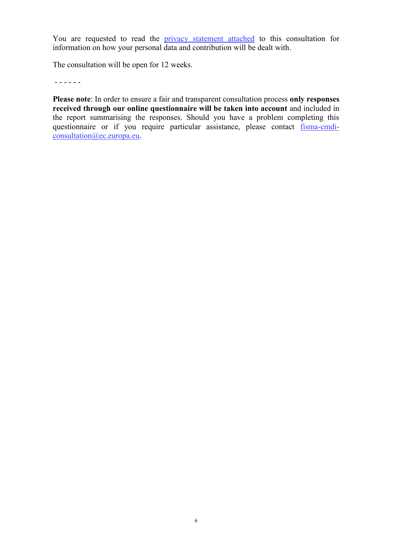You are requested to read the [privacy statement attached](https://ec.europa.eu/info/files/2021-crisis-management-deposit-insurance-review-targeted-specific-privacy-statement_en) to this consultation for information on how your personal data and contribution will be dealt with.

The consultation will be open for 12 weeks.

- - - - - -

**Please note**: In order to ensure a fair and transparent consultation process **only responses received through our online questionnaire will be taken into account** and included in the report summarising the responses. Should you have a problem completing this questionnaire or if you require particular assistance, please contact [fisma-cmdi](mailto:fisma-cmdi-consultation@ec.europa.eu)[consultation@ec.europa.eu.](mailto:fisma-cmdi-consultation@ec.europa.eu)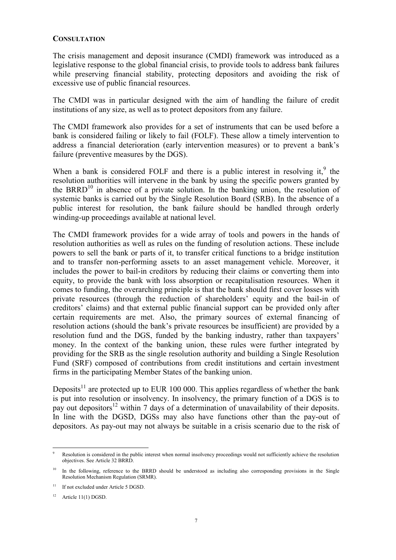#### **CONSULTATION**

The crisis management and deposit insurance (CMDI) framework was introduced as a legislative response to the global financial crisis, to provide tools to address bank failures while preserving financial stability, protecting depositors and avoiding the risk of excessive use of public financial resources.

The CMDI was in particular designed with the aim of handling the failure of credit institutions of any size, as well as to protect depositors from any failure.

The CMDI framework also provides for a set of instruments that can be used before a bank is considered failing or likely to fail (FOLF). These allow a timely intervention to address a financial deterioration (early intervention measures) or to prevent a bank's failure (preventive measures by the DGS).

When a bank is considered FOLF and there is a public interest in resolving it, $9$  the resolution authorities will intervene in the bank by using the specific powers granted by the BRRD<sup>10</sup> in absence of a private solution. In the banking union, the resolution of systemic banks is carried out by the Single Resolution Board (SRB). In the absence of a public interest for resolution, the bank failure should be handled through orderly winding-up proceedings available at national level.

The CMDI framework provides for a wide array of tools and powers in the hands of resolution authorities as well as rules on the funding of resolution actions. These include powers to sell the bank or parts of it, to transfer critical functions to a bridge institution and to transfer non-performing assets to an asset management vehicle. Moreover, it includes the power to bail-in creditors by reducing their claims or converting them into equity, to provide the bank with loss absorption or recapitalisation resources. When it comes to funding, the overarching principle is that the bank should first cover losses with private resources (through the reduction of shareholders' equity and the bail-in of creditors' claims) and that external public financial support can be provided only after certain requirements are met. Also, the primary sources of external financing of resolution actions (should the bank's private resources be insufficient) are provided by a resolution fund and the DGS, funded by the banking industry, rather than taxpayers' money. In the context of the banking union, these rules were further integrated by providing for the SRB as the single resolution authority and building a Single Resolution Fund (SRF) composed of contributions from credit institutions and certain investment firms in the participating Member States of the banking union.

Deposits<sup>11</sup> are protected up to EUR 100 000. This applies regardless of whether the bank is put into resolution or insolvency. In insolvency, the primary function of a DGS is to pay out depositors<sup>12</sup> within 7 days of a determination of unavailability of their deposits. In line with the DGSD, DGSs may also have functions other than the pay-out of depositors. As pay-out may not always be suitable in a crisis scenario due to the risk of

 $\overline{a}$ 9 Resolution is considered in the public interest when normal insolvency proceedings would not sufficiently achieve the resolution objectives. See Article 32 BRRD.

 $10$  In the following, reference to the BRRD should be understood as including also corresponding provisions in the Single Resolution Mechanism Regulation (SRMR).

 $11$  If not excluded under Article 5 DGSD.

 $12$  Article 11(1) DGSD.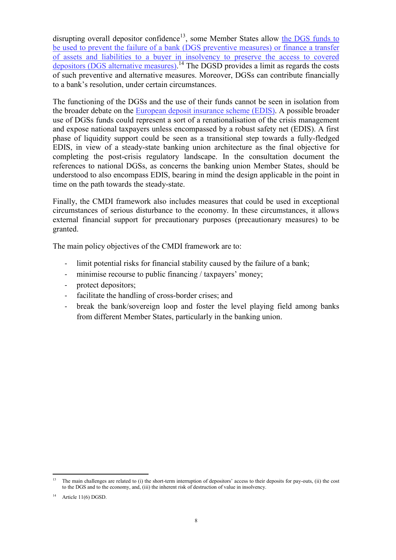disrupting overall depositor confidence<sup>13</sup>, some Member States allow the DGS funds to [be used to prevent the failure of a bank \(DGS preventive measures\) or finance a transfer](https://eba.europa.eu/regulation-and-policy/single-rulebook/interactive-single-rulebook/4426)  [of assets and liabilities to a buyer in insolvency to preserve the access to covered](https://eba.europa.eu/regulation-and-policy/single-rulebook/interactive-single-rulebook/4426)  [depositors](https://eba.europa.eu/regulation-and-policy/single-rulebook/interactive-single-rulebook/4426) (DGS alternative measures).<sup>14</sup> The DGSD provides a limit as regards the costs of such preventive and alternative measures. Moreover, DGSs can contribute financially to a bank's resolution, under certain circumstances.

The functioning of the DGSs and the use of their funds cannot be seen in isolation from the broader debate on the [European deposit insurance scheme \(EDIS\).](https://ec.europa.eu/info/business-economy-euro/banking-and-finance/banking-union/european-deposit-insurance-scheme_en) A possible broader use of DGSs funds could represent a sort of a renationalisation of the crisis management and expose national taxpayers unless encompassed by a robust safety net (EDIS). A first phase of liquidity support could be seen as a transitional step towards a fully-fledged EDIS, in view of a steady-state banking union architecture as the final objective for completing the post-crisis regulatory landscape. In the consultation document the references to national DGSs, as concerns the banking union Member States, should be understood to also encompass EDIS, bearing in mind the design applicable in the point in time on the path towards the steady-state.

Finally, the CMDI framework also includes measures that could be used in exceptional circumstances of serious disturbance to the economy. In these circumstances, it allows external financial support for precautionary purposes (precautionary measures) to be granted.

The main policy objectives of the CMDI framework are to:

- limit potential risks for financial stability caused by the failure of a bank;
- minimise recourse to public financing / taxpayers' money;
- protect depositors;
- facilitate the handling of cross-border crises; and
- break the bank/sovereign loop and foster the level playing field among banks from different Member States, particularly in the banking union.

 $\overline{a}$ 

The main challenges are related to (i) the short-term interruption of depositors' access to their deposits for pay-outs, (ii) the cost to the DGS and to the economy, and, (iii) the inherent risk of destruction of value in insolvency.

Article 11(6) DGSD.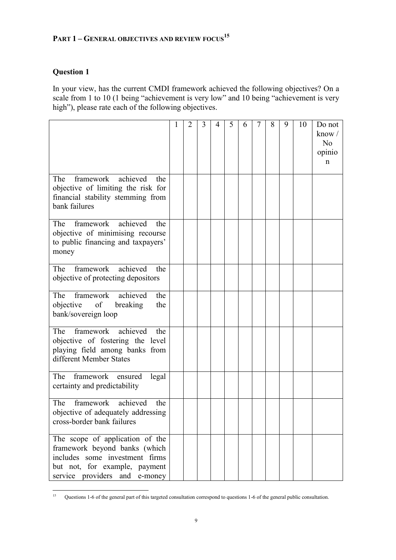# <span id="page-8-0"></span>**PART 1 – GENERAL OBJECTIVES AND REVIEW FOCUS<sup>15</sup>**

# **Question 1**

In your view, has the current CMDI framework achieved the following objectives? On a scale from 1 to 10 (1 being "achievement is very low" and 10 being "achievement is very high"), please rate each of the following objectives.

|                                                                                                                                                                      | 1 | 2 | 3 | $\overline{4}$ | 5 | 6 | 7 | 8 | 9 | 10 | Do not<br>know $\sqrt{ }$<br>N <sub>o</sub><br>opinio<br>n |
|----------------------------------------------------------------------------------------------------------------------------------------------------------------------|---|---|---|----------------|---|---|---|---|---|----|------------------------------------------------------------|
| framework achieved<br>The<br>the<br>objective of limiting the risk for<br>financial stability stemming from<br>bank failures                                         |   |   |   |                |   |   |   |   |   |    |                                                            |
| achieved<br>framework<br>The<br>the<br>objective of minimising recourse<br>to public financing and taxpayers'<br>money                                               |   |   |   |                |   |   |   |   |   |    |                                                            |
| achieved<br>framework<br>The<br>the<br>objective of protecting depositors                                                                                            |   |   |   |                |   |   |   |   |   |    |                                                            |
| framework achieved<br>The<br>the<br>objective of breaking<br>the<br>bank/sovereign loop                                                                              |   |   |   |                |   |   |   |   |   |    |                                                            |
| framework<br>achieved<br>The<br>the<br>objective of fostering the level<br>playing field among banks from<br>different Member States                                 |   |   |   |                |   |   |   |   |   |    |                                                            |
| The framework ensured<br>legal<br>certainty and predictability                                                                                                       |   |   |   |                |   |   |   |   |   |    |                                                            |
| framework<br>achieved<br>The<br>the<br>objective of adequately addressing<br>cross-border bank failures                                                              |   |   |   |                |   |   |   |   |   |    |                                                            |
| The scope of application of the<br>framework beyond banks (which<br>includes some investment firms<br>but not, for example, payment<br>service providers and e-money |   |   |   |                |   |   |   |   |   |    |                                                            |

 $15$ <sup>15</sup> Questions 1-6 of the general part of this targeted consultation correspond to questions 1-6 of the general public consultation.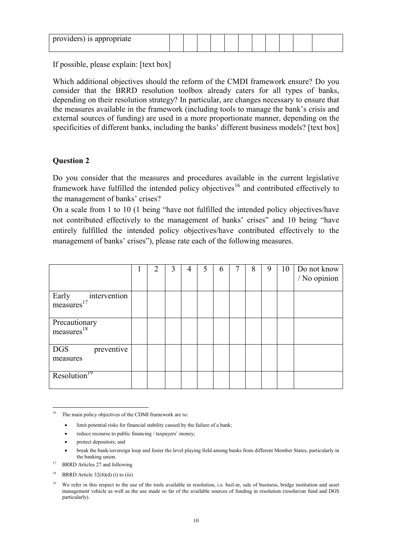| providers) is appropriate |  |  |  |  |  |  |
|---------------------------|--|--|--|--|--|--|

If possible, please explain: [text box]

Which additional objectives should the reform of the CMDI framework ensure? Do you consider that the BRRD resolution toolbox already caters for all types of banks, depending on their resolution strategy? In particular, are changes necessary to ensure that the measures available in the framework (including tools to manage the bank's crisis and external sources of funding) are used in a more proportionate manner, depending on the specificities of different banks, including the banks' different business models? [text box]

# **Question 2**

Do you consider that the measures and procedures available in the current legislative framework have fulfilled the intended policy objectives<sup>16</sup> and contributed effectively to the management of banks' crises?

On a scale from 1 to 10 (1 being "have not fulfilled the intended policy objectives/have not contributed effectively to the management of banks' crises" and 10 being "have entirely fulfilled the intended policy objectives/have contributed effectively to the management of banks' crises"), please rate each of the following measures.

|                                                 | $\overline{2}$ | 3 | 4 | 5 | 6 | 7 | 8 | 9 | 10 | Do not know<br>/ No opinion |
|-------------------------------------------------|----------------|---|---|---|---|---|---|---|----|-----------------------------|
| intervention<br>Early<br>measures <sup>17</sup> |                |   |   |   |   |   |   |   |    |                             |
| Precautionary<br>measures <sup>18</sup>         |                |   |   |   |   |   |   |   |    |                             |
| DGS<br>preventive<br>measures                   |                |   |   |   |   |   |   |   |    |                             |
| Resolution <sup>19</sup>                        |                |   |   |   |   |   |   |   |    |                             |

<sup>16</sup> The main policy objectives of the CDMI framework are to:

- limit potential risks for financial stability caused by the failure of a bank;
- reduce recourse to public financing / taxpayers' money;
- protect depositors; and
- break the bank/sovereign loop and foster the level playing field among banks from different Member States, particularly in the banking union.
- <sup>17</sup> BRRD Articles 27 and following
- <sup>18</sup> BRRD Article  $32(4)(d)$  (i) to (iii)

<sup>&</sup>lt;sup>19</sup> We refer in this respect to the use of the tools available in resolution, i.e. bail-in, sale of business, bridge institution and asset management vehicle as well as the use made so far of the available sources of funding in resolution (resolution fund and DGS particularly).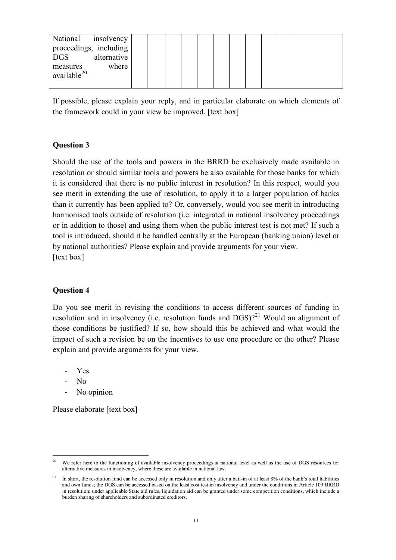| National<br>insolvency    |  |  |  |  |  |
|---------------------------|--|--|--|--|--|
| proceedings, including    |  |  |  |  |  |
| alternative<br><b>DGS</b> |  |  |  |  |  |
| where<br>measures         |  |  |  |  |  |
| available <sup>20</sup>   |  |  |  |  |  |
|                           |  |  |  |  |  |

If possible, please explain your reply, and in particular elaborate on which elements of the framework could in your view be improved. [text box]

### **Question 3**

Should the use of the tools and powers in the BRRD be exclusively made available in resolution or should similar tools and powers be also available for those banks for which it is considered that there is no public interest in resolution? In this respect, would you see merit in extending the use of resolution, to apply it to a larger population of banks than it currently has been applied to? Or, conversely, would you see merit in introducing harmonised tools outside of resolution (i.e. integrated in national insolvency proceedings or in addition to those) and using them when the public interest test is not met? If such a tool is introduced, should it be handled centrally at the European (banking union) level or by national authorities? Please explain and provide arguments for your view. [text box]

#### **Question 4**

Do you see merit in revising the conditions to access different sources of funding in resolution and in insolvency (i.e. resolution funds and  $DGS$ )?<sup>21</sup> Would an alignment of those conditions be justified? If so, how should this be achieved and what would the impact of such a revision be on the incentives to use one procedure or the other? Please explain and provide arguments for your view.

- Yes
- N<sub>o</sub>
- No opinion

Please elaborate [text box]

 $\overline{a}$ We refer here to the functioning of available insolvency proceedings at national level as well as the use of DGS resources for alternative measures in insolvency, where these are available in national law.

<sup>21</sup> In short, the resolution fund can be accessed only in resolution and only after a bail-in of at least 8% of the bank's total liabilities and own funds; the DGS can be accessed based on the least cost test in insolvency and under the conditions in Article 109 BRRD in resolution; under applicable State aid rules, liquidation aid can be granted under some competition conditions, which include a burden sharing of shareholders and subordinated creditors.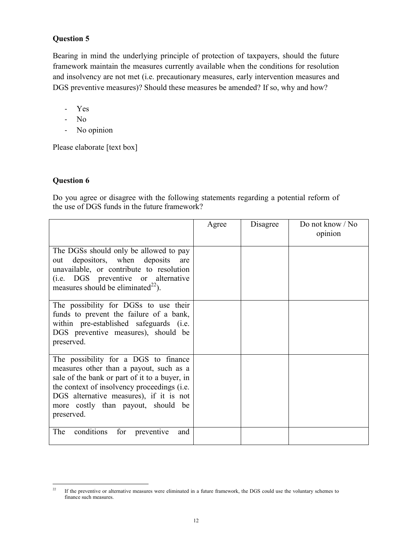# **Question 5**

Bearing in mind the underlying principle of protection of taxpayers, should the future framework maintain the measures currently available when the conditions for resolution and insolvency are not met (i.e. precautionary measures, early intervention measures and DGS preventive measures)? Should these measures be amended? If so, why and how?

- Yes
- No
- No opinion

Please elaborate [text box]

# **Question 6**

Do you agree or disagree with the following statements regarding a potential reform of the use of DGS funds in the future framework?

|                                                                                                                                                                                                                                                                                | Agree | Disagree | Do not know / No<br>opinion |
|--------------------------------------------------------------------------------------------------------------------------------------------------------------------------------------------------------------------------------------------------------------------------------|-------|----------|-----------------------------|
| The DGSs should only be allowed to pay<br>out depositors, when deposits are<br>unavailable, or contribute to resolution<br>(i.e. DGS preventive or alternative<br>measures should be eliminated <sup>22</sup> ).                                                               |       |          |                             |
| The possibility for DGSs to use their<br>funds to prevent the failure of a bank,<br>within pre-established safeguards (i.e.<br>DGS preventive measures), should be<br>preserved.                                                                                               |       |          |                             |
| The possibility for a DGS to finance<br>measures other than a payout, such as a<br>sale of the bank or part of it to a buyer, in<br>the context of insolvency proceedings (i.e.<br>DGS alternative measures), if it is not<br>more costly than payout, should be<br>preserved. |       |          |                             |
| conditions<br>The<br>for preventive<br>and                                                                                                                                                                                                                                     |       |          |                             |

 $22$ <sup>22</sup> If the preventive or alternative measures were eliminated in a future framework, the DGS could use the voluntary schemes to finance such measures.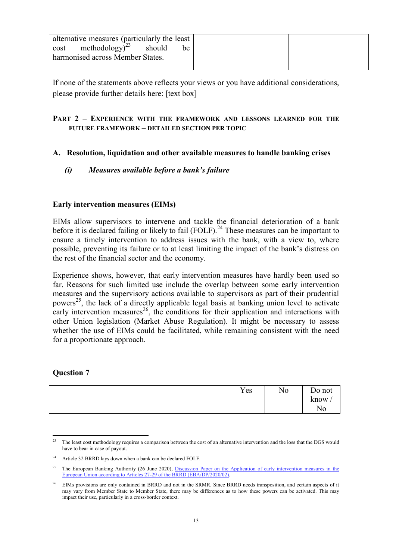|--|

If none of the statements above reflects your views or you have additional considerations, please provide further details here: [text box]

### <span id="page-12-0"></span>**PART 2 – EXPERIENCE WITH THE FRAMEWORK AND LESSONS LEARNED FOR THE FUTURE FRAMEWORK – DETAILED SECTION PER TOPIC**

# <span id="page-12-1"></span>**A. Resolution, liquidation and other available measures to handle banking crises**

# *(i) Measures available before a bank's failure*

# **Early intervention measures (EIMs)**

EIMs allow supervisors to intervene and tackle the financial deterioration of a bank before it is declared failing or likely to fail  $(FOLF)$ .<sup>24</sup> These measures can be important to ensure a timely intervention to address issues with the bank, with a view to, where possible, preventing its failure or to at least limiting the impact of the bank's distress on the rest of the financial sector and the economy.

Experience shows, however, that early intervention measures have hardly been used so far. Reasons for such limited use include the overlap between some early intervention measures and the supervisory actions available to supervisors as part of their prudential powers<sup>25</sup>, the lack of a directly applicable legal basis at banking union level to activate early intervention measures<sup>26</sup>, the conditions for their application and interactions with other Union legislation (Market Abuse Regulation). It might be necessary to assess whether the use of EIMs could be facilitated, while remaining consistent with the need for a proportionate approach.

#### **Question 7**

| Yes | No | Do not               |
|-----|----|----------------------|
|     |    | know.                |
|     |    | LТ<br>N <sub>0</sub> |

 $\overline{a}$ <sup>23</sup> The least cost methodology requires a comparison between the cost of an alternative intervention and the loss that the DGS would have to bear in case of payout.

<sup>&</sup>lt;sup>24</sup> Article 32 BRRD lays down when a bank can be declared FOLF.

<sup>&</sup>lt;sup>25</sup> The European Banking Authority (26 June 2020), Discussion Paper on the Application of early intervention measures in the [European Union according to Articles 27-29 of the BRRD \(EBA/DP/2020/02\).](https://www.eba.europa.eu/calendar/discussion-paper-application-early-intervention-measures-european-union-according-articles) 

<sup>26</sup> EIMs provisions are only contained in BRRD and not in the SRMR. Since BRRD needs transposition, and certain aspects of it may vary from Member State to Member State, there may be differences as to how these powers can be activated. This may impact their use, particularly in a cross-border context.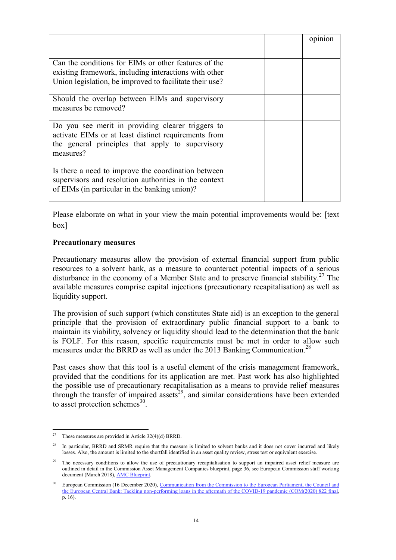|                                                                                                                                                                            |  | opinion |
|----------------------------------------------------------------------------------------------------------------------------------------------------------------------------|--|---------|
| Can the conditions for EIMs or other features of the<br>existing framework, including interactions with other<br>Union legislation, be improved to facilitate their use?   |  |         |
| Should the overlap between EIMs and supervisory<br>measures be removed?                                                                                                    |  |         |
| Do you see merit in providing clearer triggers to<br>activate EIMs or at least distinct requirements from<br>the general principles that apply to supervisory<br>measures? |  |         |
| Is there a need to improve the coordination between<br>supervisors and resolution authorities in the context<br>of EIMs (in particular in the banking union)?              |  |         |

Please elaborate on what in your view the main potential improvements would be: [text box]

#### **Precautionary measures**

Precautionary measures allow the provision of external financial support from public resources to a solvent bank, as a measure to counteract potential impacts of a serious disturbance in the economy of a Member State and to preserve financial stability.<sup>27</sup> The available measures comprise capital injections (precautionary recapitalisation) as well as liquidity support.

The provision of such support (which constitutes State aid) is an exception to the general principle that the provision of extraordinary public financial support to a bank to maintain its viability, solvency or liquidity should lead to the determination that the bank is FOLF. For this reason, specific requirements must be met in order to allow such measures under the BRRD as well as under the 2013 Banking Communication.<sup>28</sup>

Past cases show that this tool is a useful element of the crisis management framework, provided that the conditions for its application are met. Past work has also highlighted the possible use of precautionary recapitalisation as a means to provide relief measures through the transfer of impaired assets<sup>29</sup>, and similar considerations have been extended to asset protection schemes $^{30}$ .

 $\overline{a}$ These measures are provided in Article 32(4)(d) BRRD.

<sup>&</sup>lt;sup>28</sup> In particular, BRRD and SRMR require that the measure is limited to solvent banks and it does not cover incurred and likely losses. Also, the amount is limited to the shortfall identified in an asset quality review, stress test or equivalent exercise.

The necessary conditions to allow the use of precautionary recapitalisation to support an impaired asset relief measure are outlined in detail in the Commission Asset Management Companies blueprint, page 36, see European Commission staff working document (March 2018)[, AMC Blueprint.](https://eur-lex.europa.eu/legal-content/EN/TXT/PDF/?uri=CELEX:52018SC0072&from=EN) 

<sup>30</sup> European Commission (16 December 2020), [Communication from the Commission to the European Parliament, the Council and](https://eur-lex.europa.eu/legal-content/EN/TXT/PDF/?uri=CELEX:52020DC0822&from=EN)  [the European Central Bank: Tackling non-performing loans in the aftermath of the COVID-19 pandemic \(COM\(2020\) 822 final,](https://eur-lex.europa.eu/legal-content/EN/TXT/PDF/?uri=CELEX:52020DC0822&from=EN) p. 16).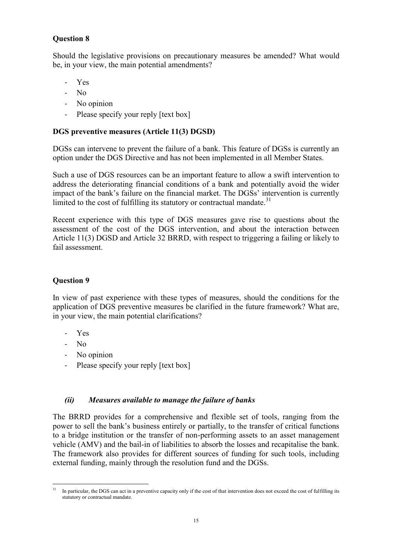# **Question 8**

Should the legislative provisions on precautionary measures be amended? What would be, in your view, the main potential amendments?

- Yes
- No
- No opinion
- Please specify your reply [text box]

# **DGS preventive measures (Article 11(3) DGSD)**

DGSs can intervene to prevent the failure of a bank. This feature of DGSs is currently an option under the DGS Directive and has not been implemented in all Member States.

Such a use of DGS resources can be an important feature to allow a swift intervention to address the deteriorating financial conditions of a bank and potentially avoid the wider impact of the bank's failure on the financial market. The DGSs' intervention is currently limited to the cost of fulfilling its statutory or contractual mandate.<sup>31</sup>

Recent experience with this type of DGS measures gave rise to questions about the assessment of the cost of the DGS intervention, and about the interaction between Article 11(3) DGSD and Article 32 BRRD, with respect to triggering a failing or likely to fail assessment.

# **Question 9**

In view of past experience with these types of measures, should the conditions for the application of DGS preventive measures be clarified in the future framework? What are, in your view, the main potential clarifications?

- Yes
- No
- No opinion
- Please specify your reply [text box]

# *(ii) Measures available to manage the failure of banks*

The BRRD provides for a comprehensive and flexible set of tools, ranging from the power to sell the bank's business entirely or partially, to the transfer of critical functions to a bridge institution or the transfer of non-performing assets to an asset management vehicle (AMV) and the bail-in of liabilities to absorb the losses and recapitalise the bank. The framework also provides for different sources of funding for such tools, including external funding, mainly through the resolution fund and the DGSs.

 $31$ In particular, the DGS can act in a preventive capacity only if the cost of that intervention does not exceed the cost of fulfilling its statutory or contractual mandate.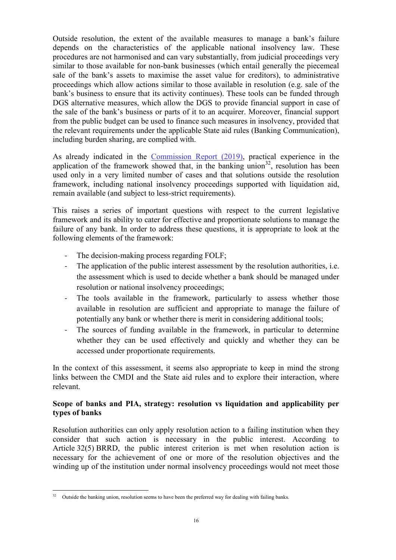Outside resolution, the extent of the available measures to manage a bank's failure depends on the characteristics of the applicable national insolvency law. These procedures are not harmonised and can vary substantially, from judicial proceedings very similar to those available for non-bank businesses (which entail generally the piecemeal sale of the bank's assets to maximise the asset value for creditors), to administrative proceedings which allow actions similar to those available in resolution (e.g. sale of the bank's business to ensure that its activity continues). These tools can be funded through DGS alternative measures, which allow the DGS to provide financial support in case of the sale of the bank's business or parts of it to an acquirer. Moreover, financial support from the public budget can be used to finance such measures in insolvency, provided that the relevant requirements under the applicable State aid rules (Banking Communication), including burden sharing, are complied with.

As already indicated in the [Commission Report \(2019\),](https://ec.europa.eu/transparency/regdoc/rep/1/2019/EN/COM-2019-213-F1-EN-MAIN-PART-1.PDF) practical experience in the application of the framework showed that, in the banking union<sup>32</sup>, resolution has been used only in a very limited number of cases and that solutions outside the resolution framework, including national insolvency proceedings supported with liquidation aid, remain available (and subject to less-strict requirements).

This raises a series of important questions with respect to the current legislative framework and its ability to cater for effective and proportionate solutions to manage the failure of any bank. In order to address these questions, it is appropriate to look at the following elements of the framework:

- The decision-making process regarding FOLF;
- The application of the public interest assessment by the resolution authorities, i.e. the assessment which is used to decide whether a bank should be managed under resolution or national insolvency proceedings;
- The tools available in the framework, particularly to assess whether those available in resolution are sufficient and appropriate to manage the failure of potentially any bank or whether there is merit in considering additional tools;
- The sources of funding available in the framework, in particular to determine whether they can be used effectively and quickly and whether they can be accessed under proportionate requirements.

In the context of this assessment, it seems also appropriate to keep in mind the strong links between the CMDI and the State aid rules and to explore their interaction, where relevant.

### **Scope of banks and PIA, strategy: resolution vs liquidation and applicability per types of banks**

Resolution authorities can only apply resolution action to a failing institution when they consider that such action is necessary in the public interest. According to Article 32(5) BRRD, the public interest criterion is met when resolution action is necessary for the achievement of one or more of the resolution objectives and the winding up of the institution under normal insolvency proceedings would not meet those

 $32^{\circ}$ Outside the banking union, resolution seems to have been the preferred way for dealing with failing banks.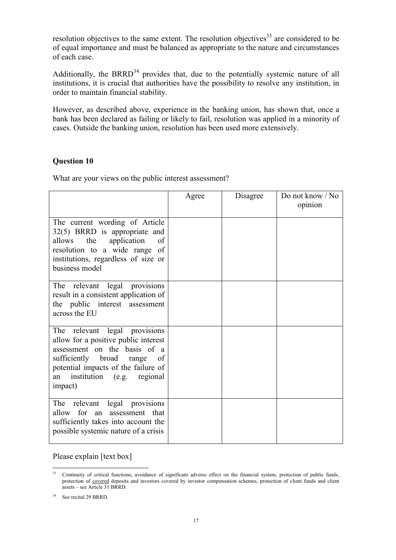resolution objectives to the same extent. The resolution objectives<sup>33</sup> are considered to be of equal importance and must be balanced as appropriate to the nature and circumstances of each case.

Additionally, the BRRD<sup>34</sup> provides that, due to the potentially systemic nature of all institutions, it is crucial that authorities have the possibility to resolve any institution, in order to maintain financial stability.

However, as described above, experience in the banking union, has shown that, once a bank has been declared as failing or likely to fail, resolution was applied in a minority of cases. Outside the banking union, resolution has been used more extensively.

#### **Question 10**

What are your views on the public interest assessment?

|                                                                                                                                                                                                                               | Agree | Disagree | Do not know / No<br>opinion |
|-------------------------------------------------------------------------------------------------------------------------------------------------------------------------------------------------------------------------------|-------|----------|-----------------------------|
| The current wording of Article<br>32(5) BRRD is appropriate and<br>application<br>allows the<br>of<br>resolution to a wide range of<br>institutions, regardless of size or<br>business model                                  |       |          |                             |
| The relevant legal provisions<br>result in a consistent application of<br>the public interest assessment<br>across the EU                                                                                                     |       |          |                             |
| The relevant legal provisions<br>allow for a positive public interest<br>assessment on the basis of a<br>sufficiently broad range<br>of<br>potential impacts of the failure of<br>institution (e.g. regional<br>an<br>impact) |       |          |                             |
| The relevant legal provisions<br>allow for an assessment that<br>sufficiently takes into account the<br>possible systemic nature of a crisis                                                                                  |       |          |                             |

### Please explain [text box]

 $33$ <sup>33</sup> Continuity of critical functions, avoidance of significant adverse effect on the financial system, protection of public funds, protection of covered deposits and investors covered by investor compensation schemes, protection of client funds and client assets – see Article 31 BRRD.

<sup>&</sup>lt;sup>34</sup> See recital 29 BRRD.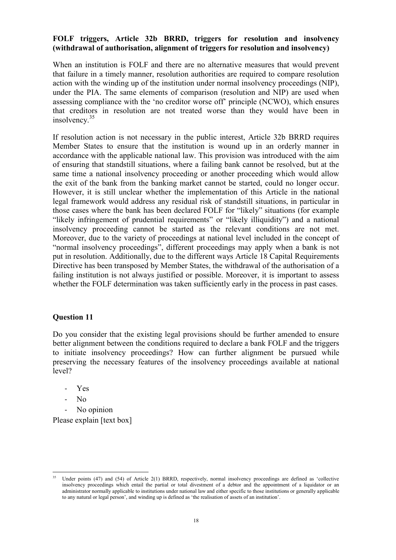#### **FOLF triggers, Article 32b BRRD, triggers for resolution and insolvency (withdrawal of authorisation, alignment of triggers for resolution and insolvency)**

When an institution is FOLF and there are no alternative measures that would prevent that failure in a timely manner, resolution authorities are required to compare resolution action with the winding up of the institution under normal insolvency proceedings (NIP), under the PIA. The same elements of comparison (resolution and NIP) are used when assessing compliance with the 'no creditor worse off' principle (NCWO), which ensures that creditors in resolution are not treated worse than they would have been in insolvency.<sup>35</sup>

If resolution action is not necessary in the public interest, Article 32b BRRD requires Member States to ensure that the institution is wound up in an orderly manner in accordance with the applicable national law. This provision was introduced with the aim of ensuring that standstill situations, where a failing bank cannot be resolved, but at the same time a national insolvency proceeding or another proceeding which would allow the exit of the bank from the banking market cannot be started, could no longer occur. However, it is still unclear whether the implementation of this Article in the national legal framework would address any residual risk of standstill situations, in particular in those cases where the bank has been declared FOLF for "likely" situations (for example "likely infringement of prudential requirements" or "likely illiquidity") and a national insolvency proceeding cannot be started as the relevant conditions are not met. Moreover, due to the variety of proceedings at national level included in the concept of "normal insolvency proceedings", different proceedings may apply when a bank is not put in resolution. Additionally, due to the different ways Article 18 Capital Requirements Directive has been transposed by Member States, the withdrawal of the authorisation of a failing institution is not always justified or possible. Moreover, it is important to assess whether the FOLF determination was taken sufficiently early in the process in past cases.

#### **Question 11**

Do you consider that the existing legal provisions should be further amended to ensure better alignment between the conditions required to declare a bank FOLF and the triggers to initiate insolvency proceedings? How can further alignment be pursued while preserving the necessary features of the insolvency proceedings available at national level?

- Yes
- No

 $\overline{a}$ 

No opinion

Please explain [text box]

Under points (47) and (54) of Article 2(1) BRRD, respectively, normal insolvency proceedings are defined as 'collective insolvency proceedings which entail the partial or total divestment of a debtor and the appointment of a liquidator or an administrator normally applicable to institutions under national law and either specific to those institutions or generally applicable to any natural or legal person', and winding up is defined as 'the realisation of assets of an institution'.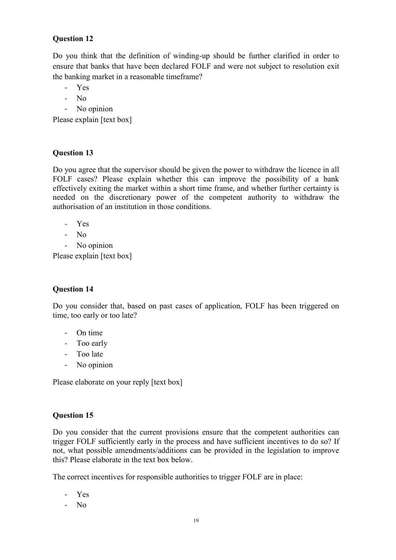# **Question 12**

Do you think that the definition of winding-up should be further clarified in order to ensure that banks that have been declared FOLF and were not subject to resolution exit the banking market in a reasonable timeframe?

- Yes
- No
- No opinion

Please explain [text box]

# **Question 13**

Do you agree that the supervisor should be given the power to withdraw the licence in all FOLF cases? Please explain whether this can improve the possibility of a bank effectively exiting the market within a short time frame, and whether further certainty is needed on the discretionary power of the competent authority to withdraw the authorisation of an institution in those conditions.

- Yes
- No
- No opinion

Please explain [text box]

# **Question 14**

Do you consider that, based on past cases of application, FOLF has been triggered on time, too early or too late?

- On time
- Too early
- Too late
- No opinion

Please elaborate on your reply [text box]

# **Question 15**

Do you consider that the current provisions ensure that the competent authorities can trigger FOLF sufficiently early in the process and have sufficient incentives to do so? If not, what possible amendments/additions can be provided in the legislation to improve this? Please elaborate in the text box below.

The correct incentives for responsible authorities to trigger FOLF are in place:

- Yes
- No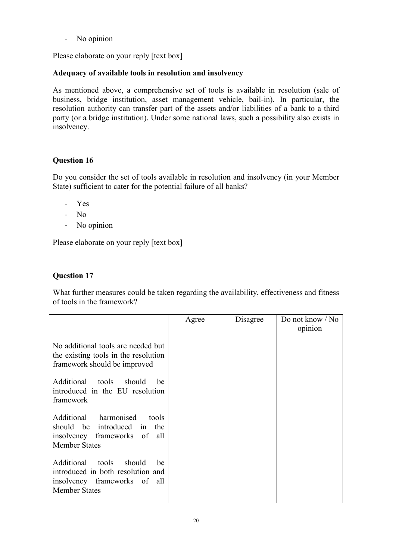- No opinion

Please elaborate on your reply [text box]

### **Adequacy of available tools in resolution and insolvency**

As mentioned above, a comprehensive set of tools is available in resolution (sale of business, bridge institution, asset management vehicle, bail-in). In particular, the resolution authority can transfer part of the assets and/or liabilities of a bank to a third party (or a bridge institution). Under some national laws, such a possibility also exists in insolvency.

# **Question 16**

Do you consider the set of tools available in resolution and insolvency (in your Member State) sufficient to cater for the potential failure of all banks?

- Yes
- No
- No opinion

Please elaborate on your reply [text box]

### **Question 17**

What further measures could be taken regarding the availability, effectiveness and fitness of tools in the framework?

|                                                                                                                                  | Agree | Disagree | Do not know $\sqrt{N}$<br>opinion |
|----------------------------------------------------------------------------------------------------------------------------------|-------|----------|-----------------------------------|
| No additional tools are needed but<br>the existing tools in the resolution<br>framework should be improved                       |       |          |                                   |
| Additional tools<br>should<br>be<br>introduced in the EU resolution<br>framework                                                 |       |          |                                   |
| harmonised<br>Additional<br>tools<br>should be introduced in the<br>insolvency frameworks of all<br><b>Member States</b>         |       |          |                                   |
| Additional<br>tools<br>should<br>be<br>introduced in both resolution and<br>insolvency frameworks of all<br><b>Member States</b> |       |          |                                   |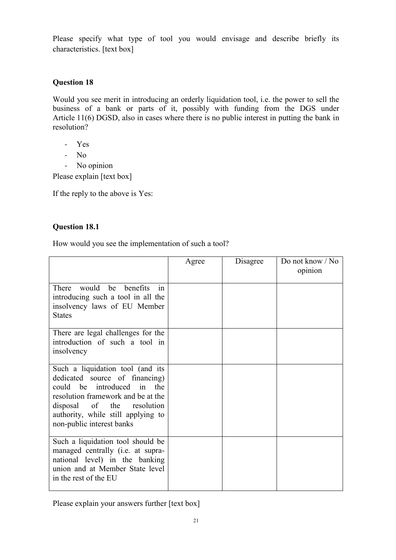Please specify what type of tool you would envisage and describe briefly its characteristics. [text box]

# **Question 18**

Would you see merit in introducing an orderly liquidation tool, i.e. the power to sell the business of a bank or parts of it, possibly with funding from the DGS under Article 11(6) DGSD, also in cases where there is no public interest in putting the bank in resolution?

- Yes
- No
- No opinion

Please explain [text box]

If the reply to the above is Yes:

# **Question 18.1**

How would you see the implementation of such a tool?

|                                                                                                                                                                                                                                         | Agree | Disagree | Do not know / No<br>opinion |
|-----------------------------------------------------------------------------------------------------------------------------------------------------------------------------------------------------------------------------------------|-------|----------|-----------------------------|
| There would be benefits<br>in<br>introducing such a tool in all the<br>insolvency laws of EU Member<br><b>States</b>                                                                                                                    |       |          |                             |
| There are legal challenges for the<br>introduction of such a tool in<br>insolvency                                                                                                                                                      |       |          |                             |
| Such a liquidation tool (and its<br>dedicated source of financing)<br>could be introduced in the<br>resolution framework and be at the<br>disposal of the resolution<br>authority, while still applying to<br>non-public interest banks |       |          |                             |
| Such a liquidation tool should be<br>managed centrally (i.e. at supra-<br>national level) in the banking<br>union and at Member State level<br>in the rest of the EU                                                                    |       |          |                             |

Please explain your answers further [text box]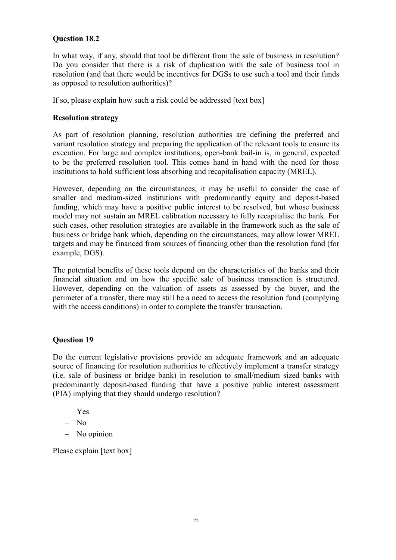# **Question 18.2**

In what way, if any, should that tool be different from the sale of business in resolution? Do you consider that there is a risk of duplication with the sale of business tool in resolution (and that there would be incentives for DGSs to use such a tool and their funds as opposed to resolution authorities)?

If so, please explain how such a risk could be addressed [text box]

### **Resolution strategy**

As part of resolution planning, resolution authorities are defining the preferred and variant resolution strategy and preparing the application of the relevant tools to ensure its execution. For large and complex institutions, open-bank bail-in is, in general, expected to be the preferred resolution tool. This comes hand in hand with the need for those institutions to hold sufficient loss absorbing and recapitalisation capacity (MREL).

However, depending on the circumstances, it may be useful to consider the case of smaller and medium-sized institutions with predominantly equity and deposit-based funding, which may have a positive public interest to be resolved, but whose business model may not sustain an MREL calibration necessary to fully recapitalise the bank. For such cases, other resolution strategies are available in the framework such as the sale of business or bridge bank which, depending on the circumstances, may allow lower MREL targets and may be financed from sources of financing other than the resolution fund (for example, DGS).

The potential benefits of these tools depend on the characteristics of the banks and their financial situation and on how the specific sale of business transaction is structured. However, depending on the valuation of assets as assessed by the buyer, and the perimeter of a transfer, there may still be a need to access the resolution fund (complying with the access conditions) in order to complete the transfer transaction.

# **Question 19**

Do the current legislative provisions provide an adequate framework and an adequate source of financing for resolution authorities to effectively implement a transfer strategy (i.e. sale of business or bridge bank) in resolution to small/medium sized banks with predominantly deposit-based funding that have a positive public interest assessment (PIA) implying that they should undergo resolution?

- Yes
- $-$  No
- No opinion

Please explain [text box]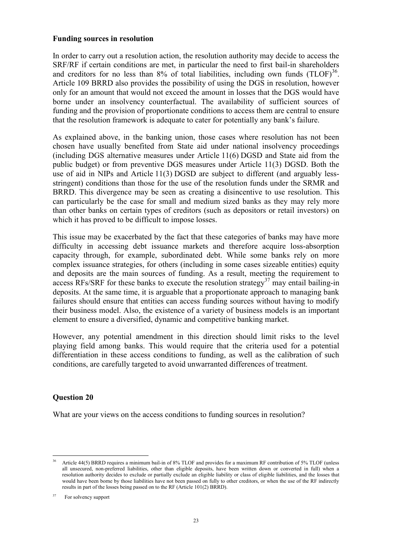#### **Funding sources in resolution**

In order to carry out a resolution action, the resolution authority may decide to access the SRF/RF if certain conditions are met, in particular the need to first bail-in shareholders and creditors for no less than  $8\%$  of total liabilities, including own funds  $(TLOF)^{36}$ . Article 109 BRRD also provides the possibility of using the DGS in resolution, however only for an amount that would not exceed the amount in losses that the DGS would have borne under an insolvency counterfactual. The availability of sufficient sources of funding and the provision of proportionate conditions to access them are central to ensure that the resolution framework is adequate to cater for potentially any bank's failure.

As explained above, in the banking union, those cases where resolution has not been chosen have usually benefited from State aid under national insolvency proceedings (including DGS alternative measures under Article 11(6) DGSD and State aid from the public budget) or from preventive DGS measures under Article 11(3) DGSD. Both the use of aid in NIPs and Article 11(3) DGSD are subject to different (and arguably lessstringent) conditions than those for the use of the resolution funds under the SRMR and BRRD. This divergence may be seen as creating a disincentive to use resolution. This can particularly be the case for small and medium sized banks as they may rely more than other banks on certain types of creditors (such as depositors or retail investors) on which it has proved to be difficult to impose losses.

This issue may be exacerbated by the fact that these categories of banks may have more difficulty in accessing debt issuance markets and therefore acquire loss-absorption capacity through, for example, subordinated debt. While some banks rely on more complex issuance strategies, for others (including in some cases sizeable entities) equity and deposits are the main sources of funding. As a result, meeting the requirement to access RFs/SRF for these banks to execute the resolution strategy<sup>37</sup> may entail bailing-in deposits. At the same time, it is arguable that a proportionate approach to managing bank failures should ensure that entities can access funding sources without having to modify their business model. Also, the existence of a variety of business models is an important element to ensure a diversified, dynamic and competitive banking market.

However, any potential amendment in this direction should limit risks to the level playing field among banks. This would require that the criteria used for a potential differentiation in these access conditions to funding, as well as the calibration of such conditions, are carefully targeted to avoid unwarranted differences of treatment.

# **Question 20**

What are your views on the access conditions to funding sources in resolution?

 $\overline{a}$ Article 44(5) BRRD requires a minimum bail-in of 8% TLOF and provides for a maximum RF contribution of 5% TLOF (unless all unsecured, non-preferred liabilities, other than eligible deposits, have been written down or converted in full) when a resolution authority decides to exclude or partially exclude an eligible liability or class of eligible liabilities, and the losses that would have been borne by those liabilities have not been passed on fully to other creditors, or when the use of the RF indirectly results in part of the losses being passed on to the RF (Article 101(2) BRRD).

<sup>37</sup> For solvency support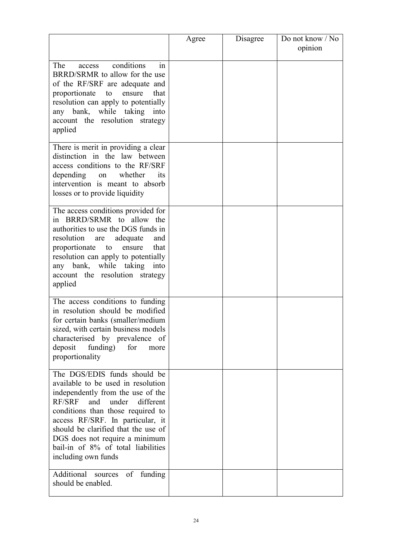|                                                                                                                                                                                                                                                                                                                                                                   | Agree | Disagree | Do not know / No<br>opinion |
|-------------------------------------------------------------------------------------------------------------------------------------------------------------------------------------------------------------------------------------------------------------------------------------------------------------------------------------------------------------------|-------|----------|-----------------------------|
| conditions<br>The<br>access<br>1n<br>BRRD/SRMR to allow for the use<br>of the RF/SRF are adequate and<br>proportionate<br>ensure<br>that<br>to<br>resolution can apply to potentially<br>any bank, while taking into<br>account the resolution strategy<br>applied                                                                                                |       |          |                             |
| There is merit in providing a clear<br>distinction in the law between<br>access conditions to the RF/SRF<br>depending<br>whether<br>its<br>on<br>intervention is meant to absorb<br>losses or to provide liquidity                                                                                                                                                |       |          |                             |
| The access conditions provided for<br>in BRRD/SRMR to allow the<br>authorities to use the DGS funds in<br>resolution<br>adequate<br>and<br>are<br>proportionate<br>that<br>to<br>ensure<br>resolution can apply to potentially<br>any bank,<br>while taking<br>into<br>account the resolution strategy<br>applied                                                 |       |          |                             |
| The access conditions to funding<br>in resolution should be modified<br>for certain banks (smaller/medium<br>sized, with certain business models<br>characterised by prevalence of<br>deposit<br>funding)<br>for<br>more<br>proportionality                                                                                                                       |       |          |                             |
| The DGS/EDIS funds should be<br>available to be used in resolution<br>independently from the use of the<br><b>RF/SRF</b><br>and<br>under different<br>conditions than those required to<br>access RF/SRF. In particular, it<br>should be clarified that the use of<br>DGS does not require a minimum<br>bail-in of 8% of total liabilities<br>including own funds |       |          |                             |
| Additional sources<br>of funding<br>should be enabled.                                                                                                                                                                                                                                                                                                            |       |          |                             |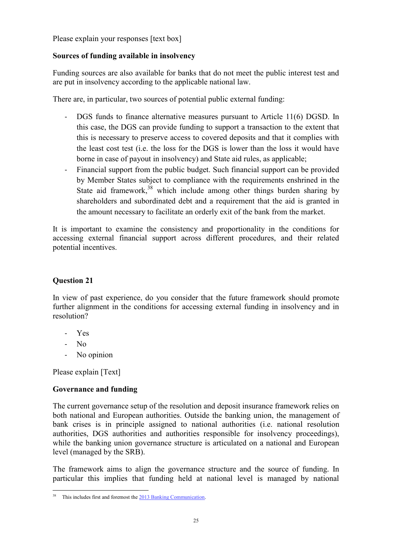Please explain your responses [text box]

# **Sources of funding available in insolvency**

Funding sources are also available for banks that do not meet the public interest test and are put in insolvency according to the applicable national law.

There are, in particular, two sources of potential public external funding:

- DGS funds to finance alternative measures pursuant to Article 11(6) DGSD. In this case, the DGS can provide funding to support a transaction to the extent that this is necessary to preserve access to covered deposits and that it complies with the least cost test (i.e. the loss for the DGS is lower than the loss it would have borne in case of payout in insolvency) and State aid rules, as applicable;
- Financial support from the public budget. Such financial support can be provided by Member States subject to compliance with the requirements enshrined in the State aid framework, $38$  which include among other things burden sharing by shareholders and subordinated debt and a requirement that the aid is granted in the amount necessary to facilitate an orderly exit of the bank from the market.

It is important to examine the consistency and proportionality in the conditions for accessing external financial support across different procedures, and their related potential incentives.

# **Question 21**

In view of past experience, do you consider that the future framework should promote further alignment in the conditions for accessing external funding in insolvency and in resolution?

- Yes
- No
- No opinion

Please explain [Text]

# **Governance and funding**

The current governance setup of the resolution and deposit insurance framework relies on both national and European authorities. Outside the banking union, the management of bank crises is in principle assigned to national authorities (i.e. national resolution authorities, DGS authorities and authorities responsible for insolvency proceedings), while the banking union governance structure is articulated on a national and European level (managed by the SRB).

The framework aims to align the governance structure and the source of funding. In particular this implies that funding held at national level is managed by national

 $\overline{a}$ This includes first and foremost the 2013 Banking Communication.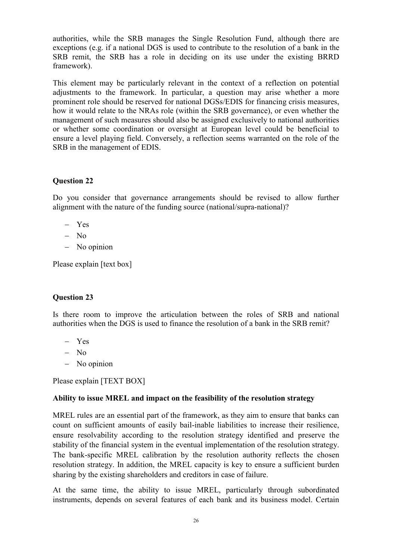authorities, while the SRB manages the Single Resolution Fund, although there are exceptions (e.g. if a national DGS is used to contribute to the resolution of a bank in the SRB remit, the SRB has a role in deciding on its use under the existing BRRD framework).

This element may be particularly relevant in the context of a reflection on potential adjustments to the framework. In particular, a question may arise whether a more prominent role should be reserved for national DGSs/EDIS for financing crisis measures, how it would relate to the NRAs role (within the SRB governance), or even whether the management of such measures should also be assigned exclusively to national authorities or whether some coordination or oversight at European level could be beneficial to ensure a level playing field. Conversely, a reflection seems warranted on the role of the SRB in the management of EDIS.

#### **Question 22**

Do you consider that governance arrangements should be revised to allow further alignment with the nature of the funding source (national/supra-national)?

- Yes
- $-$  No
- No opinion

Please explain [text box]

#### **Question 23**

Is there room to improve the articulation between the roles of SRB and national authorities when the DGS is used to finance the resolution of a bank in the SRB remit?

- Yes
- $-$  No
- No opinion

Please explain [TEXT BOX]

#### **Ability to issue MREL and impact on the feasibility of the resolution strategy**

MREL rules are an essential part of the framework, as they aim to ensure that banks can count on sufficient amounts of easily bail-inable liabilities to increase their resilience, ensure resolvability according to the resolution strategy identified and preserve the stability of the financial system in the eventual implementation of the resolution strategy. The bank-specific MREL calibration by the resolution authority reflects the chosen resolution strategy. In addition, the MREL capacity is key to ensure a sufficient burden sharing by the existing shareholders and creditors in case of failure.

At the same time, the ability to issue MREL, particularly through subordinated instruments, depends on several features of each bank and its business model. Certain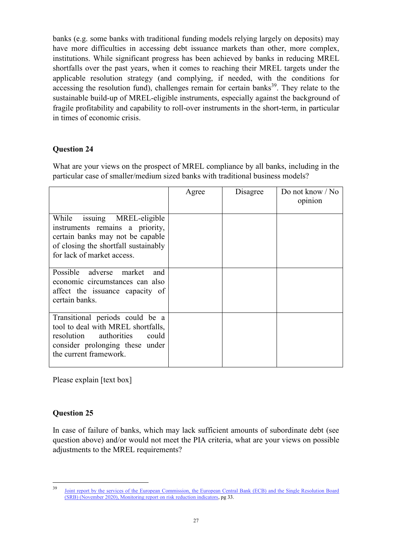banks (e.g. some banks with traditional funding models relying largely on deposits) may have more difficulties in accessing debt issuance markets than other, more complex, institutions. While significant progress has been achieved by banks in reducing MREL shortfalls over the past years, when it comes to reaching their MREL targets under the applicable resolution strategy (and complying, if needed, with the conditions for accessing the resolution fund), challenges remain for certain banks<sup>39</sup>. They relate to the sustainable build-up of MREL-eligible instruments, especially against the background of fragile profitability and capability to roll-over instruments in the short-term, in particular in times of economic crisis.

# **Question 24**

What are your views on the prospect of MREL compliance by all banks, including in the particular case of smaller/medium sized banks with traditional business models?

|                                                                                                                                                                             | Agree | Disagree | Do not know $\sqrt{N}$<br>opinion |
|-----------------------------------------------------------------------------------------------------------------------------------------------------------------------------|-------|----------|-----------------------------------|
| While<br>issuing MREL-eligible<br>instruments remains a priority,<br>certain banks may not be capable<br>of closing the shortfall sustainably<br>for lack of market access. |       |          |                                   |
| Possible adverse market<br>and<br>economic circumstances can also<br>affect the issuance capacity of<br>certain banks.                                                      |       |          |                                   |
| Transitional periods could be a<br>tool to deal with MREL shortfalls,<br>resolution authorities<br>could<br>consider prolonging these under<br>the current framework.       |       |          |                                   |

Please explain [text box]

#### **Question 25**

In case of failure of banks, which may lack sufficient amounts of subordinate debt (see question above) and/or would not meet the PIA criteria, what are your views on possible adjustments to the MREL requirements?

<sup>&</sup>lt;sup>39</sup> [Joint report by the services of the European Commission, the European Central Bank \(ECB\) and the Single Resolution Board](https://www.consilium.europa.eu/media/46978/joint-risk-reduction-monitoring-report-to-eg_november-2020_for-publication.pdf)  [\(SRB\) \(November 2020\), Monitoring report on risk reduction indicators,](https://www.consilium.europa.eu/media/46978/joint-risk-reduction-monitoring-report-to-eg_november-2020_for-publication.pdf) pg 33.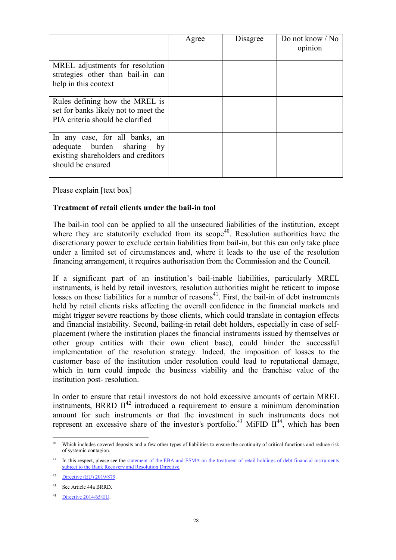|                                                                                                                          | Agree | Disagree | Do not know / No<br>opinion |
|--------------------------------------------------------------------------------------------------------------------------|-------|----------|-----------------------------|
| MREL adjustments for resolution<br>strategies other than bail-in can<br>help in this context                             |       |          |                             |
| Rules defining how the MREL is<br>set for banks likely not to meet the<br>PIA criteria should be clarified               |       |          |                             |
| In any case, for all banks, an<br>adequate burden sharing by<br>existing shareholders and creditors<br>should be ensured |       |          |                             |

Please explain [text box]

### **Treatment of retail clients under the bail-in tool**

The bail-in tool can be applied to all the unsecured liabilities of the institution, except where they are statutorily excluded from its scope<sup>40</sup>. Resolution authorities have the discretionary power to exclude certain liabilities from bail-in, but this can only take place under a limited set of circumstances and, where it leads to the use of the resolution financing arrangement, it requires authorisation from the Commission and the Council.

If a significant part of an institution's bail-inable liabilities, particularly MREL instruments, is held by retail investors, resolution authorities might be reticent to impose losses on those liabilities for a number of reasons $41$ . First, the bail-in of debt instruments held by retail clients risks affecting the overall confidence in the financial markets and might trigger severe reactions by those clients, which could translate in contagion effects and financial instability. Second, bailing-in retail debt holders, especially in case of selfplacement (where the institution places the financial instruments issued by themselves or other group entities with their own client base), could hinder the successful implementation of the resolution strategy. Indeed, the imposition of losses to the customer base of the institution under resolution could lead to reputational damage, which in turn could impede the business viability and the franchise value of the institution post- resolution.

In order to ensure that retail investors do not hold excessive amounts of certain MREL instruments, BRRD  $II^{42}$  introduced a requirement to ensure a minimum denomination amount for such instruments or that the investment in such instruments does not represent an excessive share of the investor's portfolio.<sup>43</sup> MiFID II<sup>44</sup>, which has been

 $\overline{a}$ Which includes covered deposits and a few other types of liabilities to ensure the continuity of critical functions and reduce risk of systemic contagion.

In this respect, please see the statement of the EBA and ESMA on the treatment of retail holdings of debt financial instruments [subject to the Bank Recovery and Resolution Directive.](https://eba.europa.eu/sites/default/documents/files/documents/10180/2137845/98f0c618-a297-423e-b414-84aa7ef5e9bc/EBA%20ESMA%20Statement%20on%20retail%20holdings%20of%20bail-inable%20debt%20%28EBA-Op-2018-03%29.pdf?retry=1) 

Directive (EU) 2019/879.

<sup>43</sup> See Article 44a BRRD.

<sup>44</sup> [Directive 2014/65/EU.](https://eur-lex.europa.eu/legal-content/EN/TXT/?uri=CELEX:32014L0065)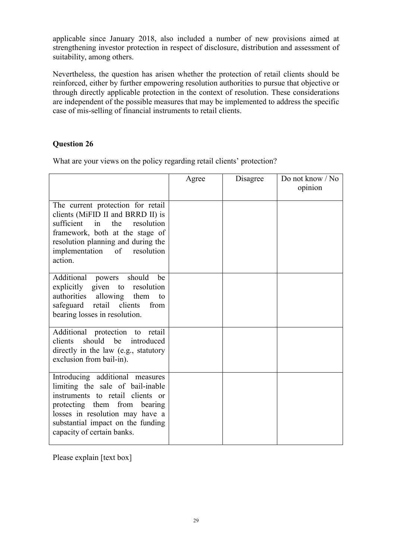applicable since January 2018, also included a number of new provisions aimed at strengthening investor protection in respect of disclosure, distribution and assessment of suitability, among others.

Nevertheless, the question has arisen whether the protection of retail clients should be reinforced, either by further empowering resolution authorities to pursue that objective or through directly applicable protection in the context of resolution. These considerations are independent of the possible measures that may be implemented to address the specific case of mis-selling of financial instruments to retail clients.

### **Question 26**

What are your views on the policy regarding retail clients' protection?

|                                                                                                                                                                                                                                               | Agree | Disagree | Do not know / No<br>opinion |
|-----------------------------------------------------------------------------------------------------------------------------------------------------------------------------------------------------------------------------------------------|-------|----------|-----------------------------|
| The current protection for retail<br>clients (MiFID II and BRRD II) is<br>sufficient<br>in<br>the<br>resolution<br>framework, both at the stage of<br>resolution planning and during the<br>implementation of resolution<br>action.           |       |          |                             |
| Additional powers<br>should<br>be<br>explicitly given to resolution<br>authorities<br>allowing them<br>to<br>safeguard retail clients<br>from<br>bearing losses in resolution.                                                                |       |          |                             |
| Additional protection to<br>retail<br>should be introduced<br>clients<br>directly in the law (e.g., statutory<br>exclusion from bail-in).                                                                                                     |       |          |                             |
| Introducing additional measures<br>limiting the sale of bail-inable<br>instruments to retail clients or<br>protecting them from bearing<br>losses in resolution may have a<br>substantial impact on the funding<br>capacity of certain banks. |       |          |                             |

Please explain [text box]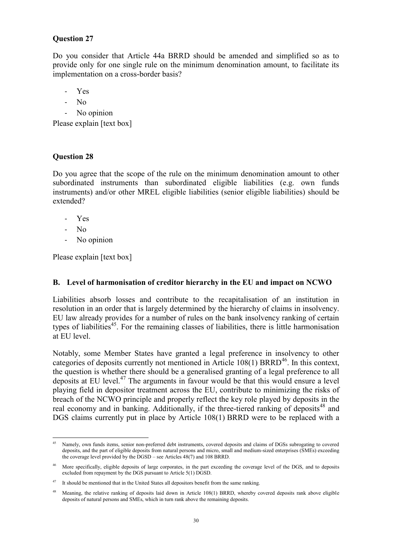# **Question 27**

Do you consider that Article 44a BRRD should be amended and simplified so as to provide only for one single rule on the minimum denomination amount, to facilitate its implementation on a cross-border basis?

- Yes
- No
- No opinion

Please explain [text box]

# **Question 28**

Do you agree that the scope of the rule on the minimum denomination amount to other subordinated instruments than subordinated eligible liabilities (e.g. own funds instruments) and/or other MREL eligible liabilities (senior eligible liabilities) should be extended?

- Yes
- No
- No opinion

Please explain [text box]

#### <span id="page-29-0"></span>**B. Level of harmonisation of creditor hierarchy in the EU and impact on NCWO**

Liabilities absorb losses and contribute to the recapitalisation of an institution in resolution in an order that is largely determined by the hierarchy of claims in insolvency. EU law already provides for a number of rules on the bank insolvency ranking of certain types of liabilities<sup>45</sup>. For the remaining classes of liabilities, there is little harmonisation at EU level.

Notably, some Member States have granted a legal preference in insolvency to other categories of deposits currently not mentioned in Article  $108(1)$  BRRD<sup>46</sup>. In this context, the question is whether there should be a generalised granting of a legal preference to all deposits at EU level. $47$  The arguments in favour would be that this would ensure a level playing field in depositor treatment across the EU, contribute to minimizing the risks of breach of the NCWO principle and properly reflect the key role played by deposits in the real economy and in banking. Additionally, if the three-tiered ranking of deposits<sup>48</sup> and DGS claims currently put in place by Article 108(1) BRRD were to be replaced with a

 $\overline{a}$ Namely, own funds items, senior non-preferred debt instruments, covered deposits and claims of DGSs subrogating to covered deposits, and the part of eligible deposits from natural persons and micro, small and medium-sized enterprises (SMEs) exceeding the coverage level provided by the DGSD – see Articles 48(7) and 108 BRRD.

<sup>46</sup> More specifically, eligible deposits of large corporates, in the part exceeding the coverage level of the DGS, and to deposits excluded from repayment by the DGS pursuant to Article 5(1) DGSD.

 $47$  It should be mentioned that in the United States all depositors benefit from the same ranking.

<sup>&</sup>lt;sup>48</sup> Meaning, the relative ranking of deposits laid down in Article 108(1) BRRD, whereby covered deposits rank above eligible deposits of natural persons and SMEs, which in turn rank above the remaining deposits.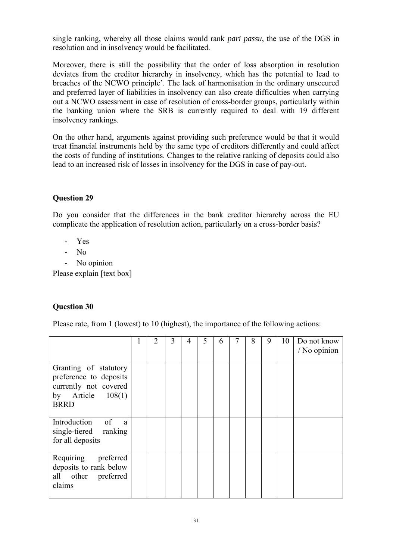single ranking, whereby all those claims would rank *pari passu*, the use of the DGS in resolution and in insolvency would be facilitated.

Moreover, there is still the possibility that the order of loss absorption in resolution deviates from the creditor hierarchy in insolvency, which has the potential to lead to breaches of the NCWO principle'. The lack of harmonisation in the ordinary unsecured and preferred layer of liabilities in insolvency can also create difficulties when carrying out a NCWO assessment in case of resolution of cross-border groups, particularly within the banking union where the SRB is currently required to deal with 19 different insolvency rankings.

On the other hand, arguments against providing such preference would be that it would treat financial instruments held by the same type of creditors differently and could affect the costs of funding of institutions. Changes to the relative ranking of deposits could also lead to an increased risk of losses in insolvency for the DGS in case of pay-out.

# **Question 29**

Do you consider that the differences in the bank creditor hierarchy across the EU complicate the application of resolution action, particularly on a cross-border basis?

- Yes
- No
- No opinion

Please explain [text box]

# **Question 30**

Please rate, from 1 (lowest) to 10 (highest), the importance of the following actions:

|                                                                                                                | 2 | 3 | 4 | 5 | 6 | 8 | 9 | 10 | Do not know<br>/ No opinion |
|----------------------------------------------------------------------------------------------------------------|---|---|---|---|---|---|---|----|-----------------------------|
| Granting of statutory<br>preference to deposits<br>currently not covered<br>by Article $108(1)$<br><b>BRRD</b> |   |   |   |   |   |   |   |    |                             |
| Introduction of<br>a.<br>single-tiered ranking<br>for all deposits                                             |   |   |   |   |   |   |   |    |                             |
| Requiring preferred<br>deposits to rank below<br>all other preferred<br>claims                                 |   |   |   |   |   |   |   |    |                             |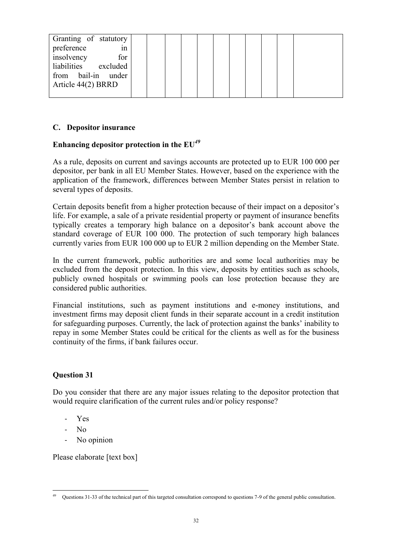| Granting of statutory<br>preference<br>1n                       |  |  |  |
|-----------------------------------------------------------------|--|--|--|
| insolvency<br>for<br>liabilities excluded<br>from bail-in under |  |  |  |
| Article 44(2) BRRD                                              |  |  |  |

#### <span id="page-31-0"></span>**C. Depositor insurance**

# **Enhancing depositor protection in the EU***<sup>49</sup>*

As a rule, deposits on current and savings accounts are protected up to EUR 100 000 per depositor, per bank in all EU Member States. However, based on the experience with the application of the framework, differences between Member States persist in relation to several types of deposits.

Certain deposits benefit from a higher protection because of their impact on a depositor's life. For example, a sale of a private residential property or payment of insurance benefits typically creates a temporary high balance on a depositor's bank account above the standard coverage of EUR 100 000. The protection of such temporary high balances currently varies from EUR 100 000 up to EUR 2 million depending on the Member State.

In the current framework, public authorities are and some local authorities may be excluded from the deposit protection. In this view, deposits by entities such as schools, publicly owned hospitals or swimming pools can lose protection because they are considered public authorities.

Financial institutions, such as payment institutions and e-money institutions, and investment firms may deposit client funds in their separate account in a credit institution for safeguarding purposes. Currently, the lack of protection against the banks' inability to repay in some Member States could be critical for the clients as well as for the business continuity of the firms, if bank failures occur.

# **Question 31**

Do you consider that there are any major issues relating to the depositor protection that would require clarification of the current rules and/or policy response?

- Yes
- No
- No opinion

Please elaborate [text box]

 $\overline{a}$ Questions 31-33 of the technical part of this targeted consultation correspond to questions 7-9 of the general public consultation.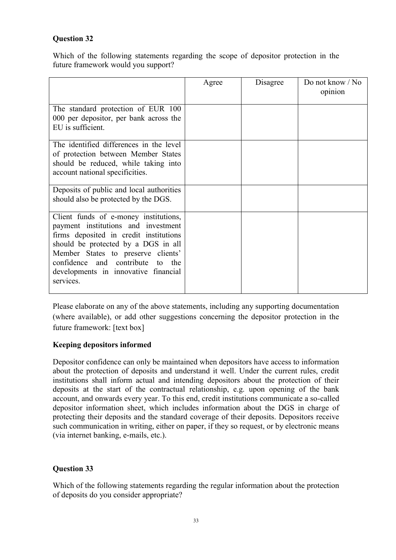# **Question 32**

Which of the following statements regarding the scope of depositor protection in the future framework would you support?

|                                                                                                                                                                                                                                                                                              | Agree | Disagree | Do not know / No<br>opinion |
|----------------------------------------------------------------------------------------------------------------------------------------------------------------------------------------------------------------------------------------------------------------------------------------------|-------|----------|-----------------------------|
| The standard protection of EUR 100<br>000 per depositor, per bank across the<br>EU is sufficient.                                                                                                                                                                                            |       |          |                             |
| The identified differences in the level<br>of protection between Member States<br>should be reduced, while taking into<br>account national specificities.                                                                                                                                    |       |          |                             |
| Deposits of public and local authorities<br>should also be protected by the DGS.                                                                                                                                                                                                             |       |          |                             |
| Client funds of e-money institutions,<br>payment institutions and investment<br>firms deposited in credit institutions<br>should be protected by a DGS in all<br>Member States to preserve clients'<br>confidence and contribute to the<br>developments in innovative financial<br>services. |       |          |                             |

Please elaborate on any of the above statements, including any supporting documentation (where available), or add other suggestions concerning the depositor protection in the future framework: [text box]

# **Keeping depositors informed**

Depositor confidence can only be maintained when depositors have access to information about the protection of deposits and understand it well. Under the current rules, credit institutions shall inform actual and intending depositors about the protection of their deposits at the start of the contractual relationship, e.g. upon opening of the bank account, and onwards every year. To this end, credit institutions communicate a so-called depositor information sheet, which includes information about the DGS in charge of protecting their deposits and the standard coverage of their deposits. Depositors receive such communication in writing, either on paper, if they so request, or by electronic means (via internet banking, e-mails, etc.).

# **Question 33**

Which of the following statements regarding the regular information about the protection of deposits do you consider appropriate?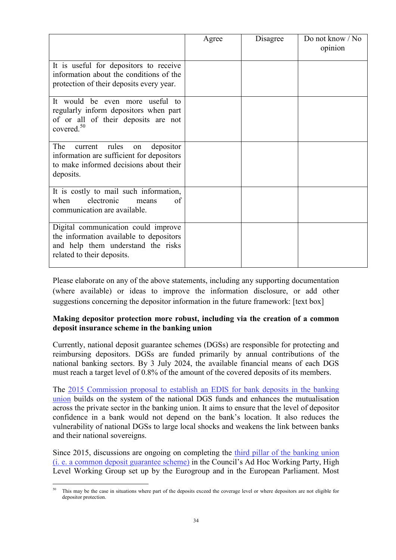|                                                                                                                                                    | Agree | Disagree | Do not know / No<br>opinion |
|----------------------------------------------------------------------------------------------------------------------------------------------------|-------|----------|-----------------------------|
| It is useful for depositors to receive<br>information about the conditions of the<br>protection of their deposits every year.                      |       |          |                             |
| It would be even more useful to<br>regularly inform depositors when part<br>of or all of their deposits are not<br>covered. $50$                   |       |          |                             |
| The<br>rules<br>depositor<br>current<br>on<br>information are sufficient for depositors<br>to make informed decisions about their<br>deposits.     |       |          |                             |
| It is costly to mail such information,<br>electronic<br>when<br>οf<br>means<br>communication are available.                                        |       |          |                             |
| Digital communication could improve<br>the information available to depositors<br>and help them understand the risks<br>related to their deposits. |       |          |                             |

Please elaborate on any of the above statements, including any supporting documentation (where available) or ideas to improve the information disclosure, or add other suggestions concerning the depositor information in the future framework: [text box]

# **Making depositor protection more robust, including via the creation of a common deposit insurance scheme in the banking union**

Currently, national deposit guarantee schemes (DGSs) are responsible for protecting and reimbursing depositors. DGSs are funded primarily by annual contributions of the national banking sectors. By 3 July 2024, the available financial means of each DGS must reach a target level of 0.8% of the amount of the covered deposits of its members.

The [2015 Commission proposal to establish an EDIS for bank deposits in the banking](https://ec.europa.eu/info/publications/commission-proposal-european-deposit-insurance-scheme-edis_en)  [union](https://ec.europa.eu/info/publications/commission-proposal-european-deposit-insurance-scheme-edis_en) builds on the system of the national DGS funds and enhances the mutualisation across the private sector in the banking union. It aims to ensure that the level of depositor confidence in a bank would not depend on the bank's location. It also reduces the vulnerability of national DGSs to large local shocks and weakens the link between banks and their national sovereigns.

Since 2015, discussions are ongoing on completing the [third pillar of the banking union](https://ec.europa.eu/info/business-economy-euro/banking-and-finance/banking-union/european-deposit-insurance-scheme_en)  [\(i. e. a common deposit guarantee scheme\)](https://ec.europa.eu/info/business-economy-euro/banking-and-finance/banking-union/european-deposit-insurance-scheme_en) in the Council's Ad Hoc Working Party, High Level Working Group set up by the Eurogroup and in the European Parliament. Most

 $\overline{a}$ This may be the case in situations where part of the deposits exceed the coverage level or where depositors are not eligible for depositor protection.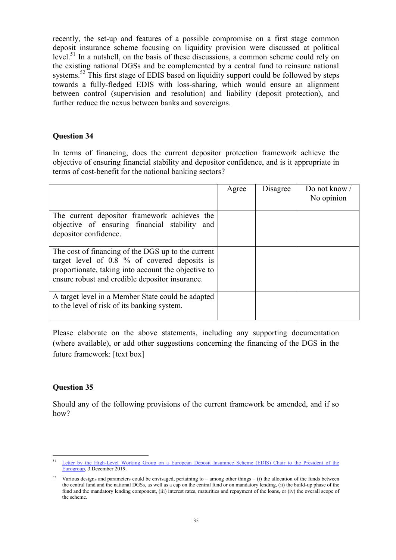recently, the set-up and features of a possible compromise on a first stage common deposit insurance scheme focusing on liquidity provision were discussed [at political](https://www.consilium.europa.eu/media/41644/2019-12-03-letter-from-the-hlwg-chair-to-the-peg.pdf)  [level.](https://www.consilium.europa.eu/media/41644/2019-12-03-letter-from-the-hlwg-chair-to-the-peg.pdf)<sup>51</sup> In a nutshell, on the basis of these discussions, a common scheme could rely on the existing national DGSs and be complemented by a central fund to reinsure national systems.<sup>52</sup> This first stage of EDIS based on liquidity support could be followed by steps towards a fully-fledged EDIS with loss-sharing, which would ensure an alignment between control (supervision and resolution) and liability (deposit protection), and further reduce the nexus between banks and sovereigns.

#### **Question 34**

In terms of financing, does the current depositor protection framework achieve the objective of ensuring financial stability and depositor confidence, and is it appropriate in terms of cost-benefit for the national banking sectors?

|                                                                                                                                                                                                              | Agree | Disagree | Do not know /<br>No opinion |
|--------------------------------------------------------------------------------------------------------------------------------------------------------------------------------------------------------------|-------|----------|-----------------------------|
| The current depositor framework achieves the<br>objective of ensuring financial stability and<br>depositor confidence.                                                                                       |       |          |                             |
| The cost of financing of the DGS up to the current<br>target level of 0.8 % of covered deposits is<br>proportionate, taking into account the objective to<br>ensure robust and credible depositor insurance. |       |          |                             |
| A target level in a Member State could be adapted<br>to the level of risk of its banking system.                                                                                                             |       |          |                             |

Please elaborate on the above statements, including any supporting documentation (where available), or add other suggestions concerning the financing of the DGS in the future framework: [text box]

#### **Question 35**

Should any of the following provisions of the current framework be amended, and if so how?

 $\overline{a}$ 51 [Letter by the High-Level Working Group on a European Deposit Insurance Scheme \(EDIS\) Chair to the President of the](https://www.consilium.europa.eu/media/41644/2019-12-03-letter-from-the-hlwg-chair-to-the-peg.pdf)  [Eurogroup,](https://www.consilium.europa.eu/media/41644/2019-12-03-letter-from-the-hlwg-chair-to-the-peg.pdf) 3 December 2019.

Various designs and parameters could be envisaged, pertaining to – among other things – (i) the allocation of the funds between the central fund and the national DGSs, as well as a cap on the central fund or on mandatory lending, (ii) the build-up phase of the fund and the mandatory lending component, (iii) interest rates, maturities and repayment of the loans, or (iv) the overall scope of the scheme.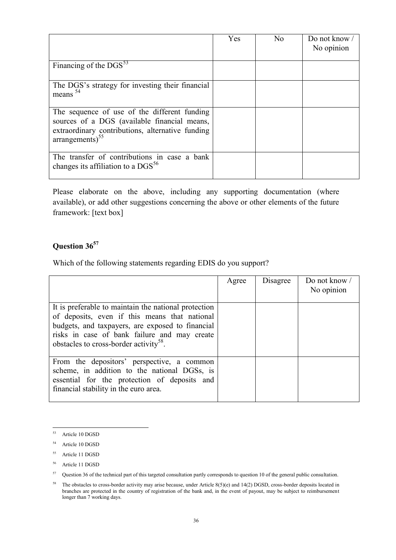|                                                                                                                                                                                  | Yes | N <sub>o</sub> | Do not know /<br>No opinion |
|----------------------------------------------------------------------------------------------------------------------------------------------------------------------------------|-----|----------------|-----------------------------|
| Financing of the $DGS^{53}$                                                                                                                                                      |     |                |                             |
| The DGS's strategy for investing their financial<br>means $54$                                                                                                                   |     |                |                             |
| The sequence of use of the different funding<br>sources of a DGS (available financial means,<br>extraordinary contributions, alternative funding<br>$arrangements$ <sup>55</sup> |     |                |                             |
| The transfer of contributions in case a bank<br>changes its affiliation to a $DGS^{56}$                                                                                          |     |                |                             |

Please elaborate on the above, including any supporting documentation (where available), or add other suggestions concerning the above or other elements of the future framework: [text box]

# **Question 36 57**

Which of the following statements regarding EDIS do you support?

|                                                                                                                                                                                                                                                                 | Agree | Disagree | Do not know /<br>No opinion |
|-----------------------------------------------------------------------------------------------------------------------------------------------------------------------------------------------------------------------------------------------------------------|-------|----------|-----------------------------|
| It is preferable to maintain the national protection<br>of deposits, even if this means that national<br>budgets, and taxpayers, are exposed to financial<br>risks in case of bank failure and may create<br>obstacles to cross-border activity <sup>58</sup> . |       |          |                             |
| From the depositors' perspective, a common<br>scheme, in addition to the national DGSs, is<br>essential for the protection of deposits and<br>financial stability in the euro area.                                                                             |       |          |                             |

<sup>53</sup> Article 10 DGSD

<sup>54</sup> Article 10 DGSD

<sup>55</sup> Article 11 DGSD

<sup>56</sup> Article 11 DGSD

<sup>&</sup>lt;sup>57</sup> Question 36 of the technical part of this targeted consultation partly corresponds to question 10 of the general public consultation.

<sup>&</sup>lt;sup>58</sup> The obstacles to cross-border activity may arise because, under Article 8(5)(e) and 14(2) DGSD, cross-border deposits located in branches are protected in the country of registration of the bank and, in the event of payout, may be subject to reimbursement longer than 7 working days.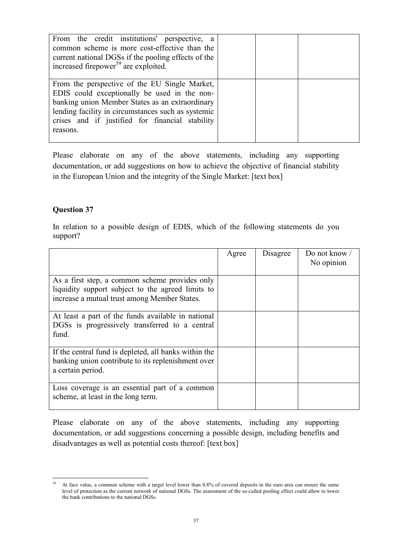| From the credit institutions' perspective, a<br>common scheme is more cost-effective than the<br>current national DGSs if the pooling effects of the<br>increased firepower <sup>59</sup> are exploited.                                                              |  |
|-----------------------------------------------------------------------------------------------------------------------------------------------------------------------------------------------------------------------------------------------------------------------|--|
| From the perspective of the EU Single Market,<br>EDIS could exceptionally be used in the non-<br>banking union Member States as an extraordinary<br>lending facility in circumstances such as systemic<br>crises and if justified for financial stability<br>reasons. |  |

Please elaborate on any of the above statements, including any supporting documentation, or add suggestions on how to achieve the objective of financial stability in the European Union and the integrity of the Single Market: [text box]

#### **Question 37**

In relation to a possible design of EDIS, which of the following statements do you support?

|                                                                                                                                                     | Agree | Disagree | Do not know /<br>No opinion |
|-----------------------------------------------------------------------------------------------------------------------------------------------------|-------|----------|-----------------------------|
| As a first step, a common scheme provides only<br>liquidity support subject to the agreed limits to<br>increase a mutual trust among Member States. |       |          |                             |
| At least a part of the funds available in national<br>DGSs is progressively transferred to a central<br>fund.                                       |       |          |                             |
| If the central fund is depleted, all banks within the<br>banking union contribute to its replenishment over<br>a certain period.                    |       |          |                             |
| Loss coverage is an essential part of a common<br>scheme, at least in the long term.                                                                |       |          |                             |

Please elaborate on any of the above statements, including any supporting documentation, or add suggestions concerning a possible design, including benefits and disadvantages as well as potential costs thereof: [text box]

<sup>59</sup> At face value, a common scheme with a target level lower than 0.8% of covered deposits in the euro area can ensure the same level of protection as the current network of national DGSs. The assessment of the so-called pooling effect could allow to lower the bank contributions to the national DGSs.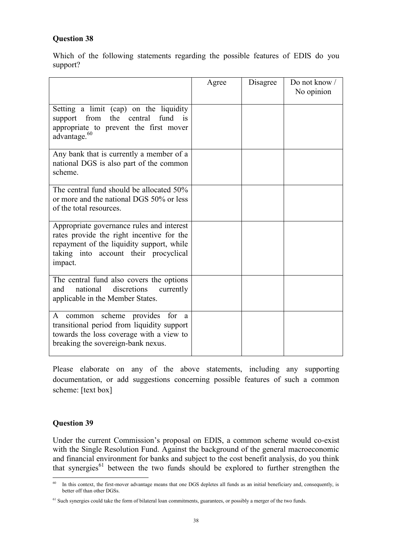# **Question 38**

Which of the following statements regarding the possible features of EDIS do you support?

|                                                                                                                                                                                         | Agree | Disagree | Do not know /<br>No opinion |
|-----------------------------------------------------------------------------------------------------------------------------------------------------------------------------------------|-------|----------|-----------------------------|
| Setting a limit (cap) on the liquidity<br>support from<br>the central<br>fund<br>$\overline{1}$<br>appropriate to prevent the first mover<br>advantage. <sup>60</sup>                   |       |          |                             |
| Any bank that is currently a member of a<br>national DGS is also part of the common<br>scheme.                                                                                          |       |          |                             |
| The central fund should be allocated 50%<br>or more and the national DGS 50% or less<br>of the total resources.                                                                         |       |          |                             |
| Appropriate governance rules and interest<br>rates provide the right incentive for the<br>repayment of the liquidity support, while<br>taking into account their procyclical<br>impact. |       |          |                             |
| The central fund also covers the options<br>national<br>discretions<br>and<br>currently<br>applicable in the Member States.                                                             |       |          |                             |
| common scheme provides<br>for<br>A<br><sub>a</sub><br>transitional period from liquidity support<br>towards the loss coverage with a view to<br>breaking the sovereign-bank nexus.      |       |          |                             |

Please elaborate on any of the above statements, including any supporting documentation, or add suggestions concerning possible features of such a common scheme: [text box]

#### **Question 39**

Under the current Commission's proposal on EDIS, a common scheme would co-exist with the Single Resolution Fund. Against the background of the general macroeconomic and financial environment for banks and subject to the cost benefit analysis, do you think that synergies $61$  between the two funds should be explored to further strengthen the

<sup>60</sup> In this context, the first-mover advantage means that one DGS depletes all funds as an initial beneficiary and, consequently, is better off than other DGSs.

<sup>&</sup>lt;sup>61</sup> Such synergies could take the form of bilateral loan commitments, guarantees, or possibly a merger of the two funds.